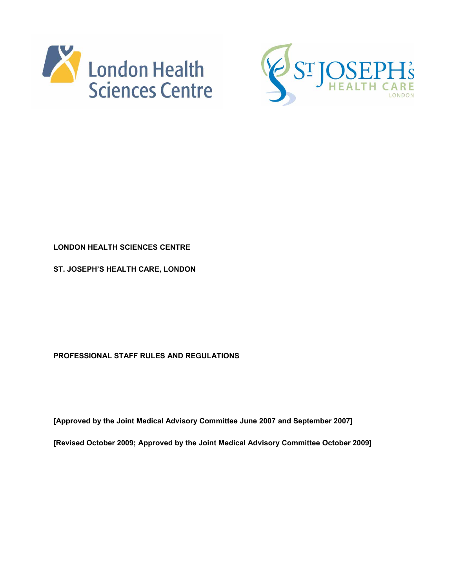



# **LONDON HEALTH SCIENCES CENTRE**

**ST. JOSEPH'S HEALTH CARE, LONDON** 

**PROFESSIONAL STAFF RULES AND REGULATIONS** 

**[Approved by the Joint Medical Advisory Committee June 2007 and September 2007]** 

**[Revised October 2009; Approved by the Joint Medical Advisory Committee October 2009]**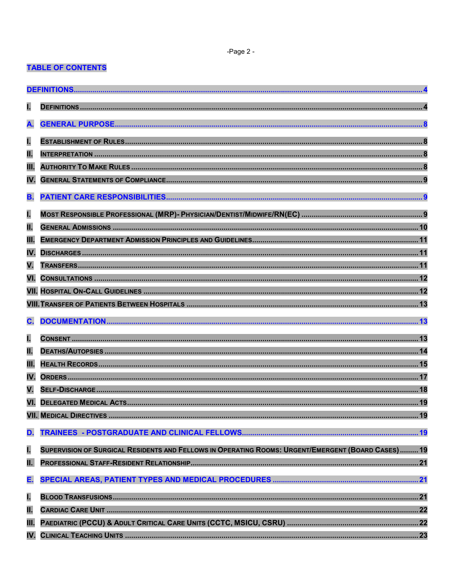-Page 2 -

# **TABLE OF CONTENTS**

| I.        |                                                                                                    |  |  |
|-----------|----------------------------------------------------------------------------------------------------|--|--|
| A.        |                                                                                                    |  |  |
| ī.        |                                                                                                    |  |  |
| Π.        |                                                                                                    |  |  |
| Ш.        |                                                                                                    |  |  |
| IV.       |                                                                                                    |  |  |
| <b>B.</b> |                                                                                                    |  |  |
| I.        |                                                                                                    |  |  |
| π.        |                                                                                                    |  |  |
| Ш.        |                                                                                                    |  |  |
| IV.       |                                                                                                    |  |  |
| V.        |                                                                                                    |  |  |
| VI.       |                                                                                                    |  |  |
|           |                                                                                                    |  |  |
|           |                                                                                                    |  |  |
|           |                                                                                                    |  |  |
| C.        |                                                                                                    |  |  |
| ī.        |                                                                                                    |  |  |
| π.        |                                                                                                    |  |  |
| Ш.        |                                                                                                    |  |  |
| IV.       |                                                                                                    |  |  |
| V.        |                                                                                                    |  |  |
| VI.       |                                                                                                    |  |  |
|           | 19<br><b>VII. MEDICAL DIRECTIVES</b>                                                               |  |  |
| D.        |                                                                                                    |  |  |
| ī.        | SUPERVISION OF SURGICAL RESIDENTS AND FELLOWS IN OPERATING ROOMS: URGENT/EMERGENT (BOARD CASES) 19 |  |  |
| Π.        |                                                                                                    |  |  |
| E.        |                                                                                                    |  |  |
| ī.        |                                                                                                    |  |  |
| π.        |                                                                                                    |  |  |
| Ш.        |                                                                                                    |  |  |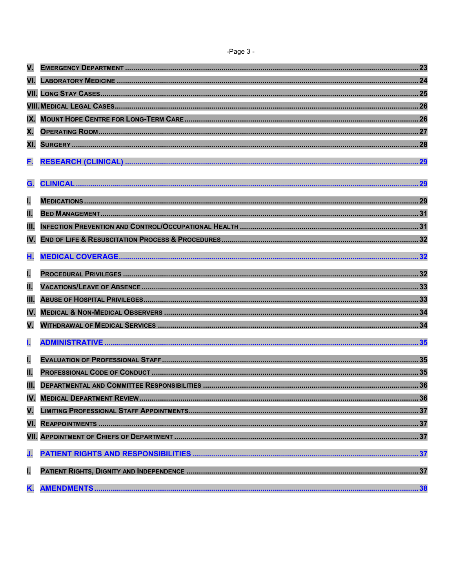| Ï<br>r |  |  |
|--------|--|--|
|--------|--|--|

| VI. |  |
|-----|--|
|     |  |
|     |  |
| IX. |  |
| Χ.  |  |
| XI. |  |
| F.  |  |
| G.  |  |
| L   |  |
| π.  |  |
| Ш.  |  |
| IV. |  |
| Η.  |  |
| I.  |  |
| Π.  |  |
| Ш.  |  |
| IV. |  |
| V.  |  |
| ı.  |  |
| ī.  |  |
| π.  |  |
| Ш.  |  |
| IV. |  |
| V.  |  |
|     |  |
|     |  |
| J.  |  |
| ī.  |  |
| K.  |  |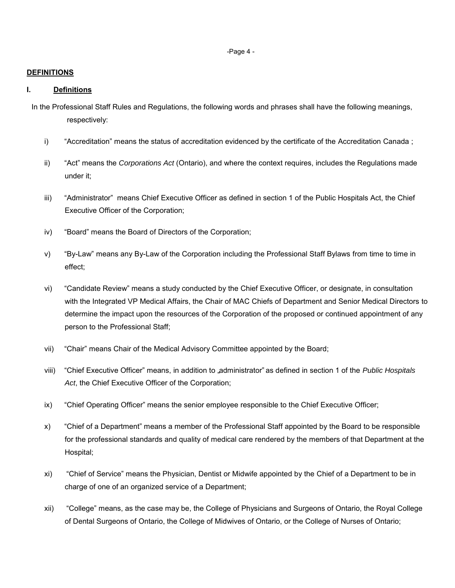-Page 4 -

#### <span id="page-3-0"></span>**DEFINITIONS**

## <span id="page-3-1"></span>**I. Definitions**

In the Professional Staff Rules and Regulations, the following words and phrases shall have the following meanings, respectively:

- i) "Accreditation" means the status of accreditation evidenced by the certificate of the Accreditation Canada ;
- ii) "Act" means the *Corporations Act* (Ontario), and where the context requires, includes the Regulations made under it;
- iii) "Administrator" means Chief Executive Officer as defined in section 1 of the Public Hospitals Act, the Chief Executive Officer of the Corporation;
- iv) "Board" means the Board of Directors of the Corporation;
- v) "By-Law" means any By-Law of the Corporation including the Professional Staff Bylaws from time to time in effect;
- vi) "Candidate Review" means a study conducted by the Chief Executive Officer, or designate, in consultation with the Integrated VP Medical Affairs, the Chair of MAC Chiefs of Department and Senior Medical Directors to determine the impact upon the resources of the Corporation of the proposed or continued appointment of any person to the Professional Staff;
- vii) "Chair" means Chair of the Medical Advisory Committee appointed by the Board;
- viii) "Chief Executive Officer" means, in addition to "administrator" as defined in section 1 of the *Public Hospitals Act*, the Chief Executive Officer of the Corporation;
- ix) "Chief Operating Officer" means the senior employee responsible to the Chief Executive Officer;
- x) "Chief of a Department" means a member of the Professional Staff appointed by the Board to be responsible for the professional standards and quality of medical care rendered by the members of that Department at the Hospital;
- xi) "Chief of Service" means the Physician, Dentist or Midwife appointed by the Chief of a Department to be in charge of one of an organized service of a Department;
- xii) "College" means, as the case may be, the College of Physicians and Surgeons of Ontario, the Royal College of Dental Surgeons of Ontario, the College of Midwives of Ontario, or the College of Nurses of Ontario;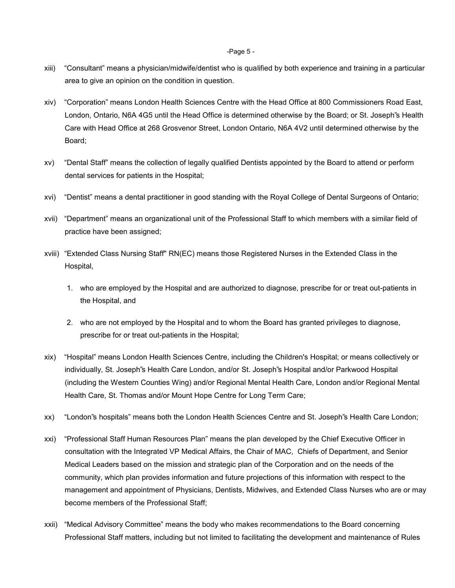-Page 5 -

- xiii) "Consultant" means a physician/midwife/dentist who is qualified by both experience and training in a particular area to give an opinion on the condition in question.
- xiv) "Corporation" means London Health Sciences Centre with the Head Office at 800 Commissioners Road East, London, Ontario, N6A 4G5 until the Head Office is determined otherwise by the Board; or St. Joseph"s Health Care with Head Office at 268 Grosvenor Street, London Ontario, N6A 4V2 until determined otherwise by the Board;
- xv) "Dental Staff" means the collection of legally qualified Dentists appointed by the Board to attend or perform dental services for patients in the Hospital;
- xvi) "Dentist" means a dental practitioner in good standing with the Royal College of Dental Surgeons of Ontario;
- xvii) "Department" means an organizational unit of the Professional Staff to which members with a similar field of practice have been assigned;
- xviii) "Extended Class Nursing Staff" RN(EC) means those Registered Nurses in the Extended Class in the Hospital,
	- 1. who are employed by the Hospital and are authorized to diagnose, prescribe for or treat out-patients in the Hospital, and
	- 2. who are not employed by the Hospital and to whom the Board has granted privileges to diagnose, prescribe for or treat out-patients in the Hospital;
- xix) "Hospital" means London Health Sciences Centre, including the Children's Hospital; or means collectively or individually, St. Joseph"s Health Care London, and/or St. Joseph"s Hospital and/or Parkwood Hospital (including the Western Counties Wing) and/or Regional Mental Health Care, London and/or Regional Mental Health Care, St. Thomas and/or Mount Hope Centre for Long Term Care;
- xx) "London"s hospitals" means both the London Health Sciences Centre and St. Joseph"s Health Care London;
- xxi) "Professional Staff Human Resources Plan" means the plan developed by the Chief Executive Officer in consultation with the Integrated VP Medical Affairs, the Chair of MAC, Chiefs of Department, and Senior Medical Leaders based on the mission and strategic plan of the Corporation and on the needs of the community, which plan provides information and future projections of this information with respect to the management and appointment of Physicians, Dentists, Midwives, and Extended Class Nurses who are or may become members of the Professional Staff;
- xxii) "Medical Advisory Committee" means the body who makes recommendations to the Board concerning Professional Staff matters, including but not limited to facilitating the development and maintenance of Rules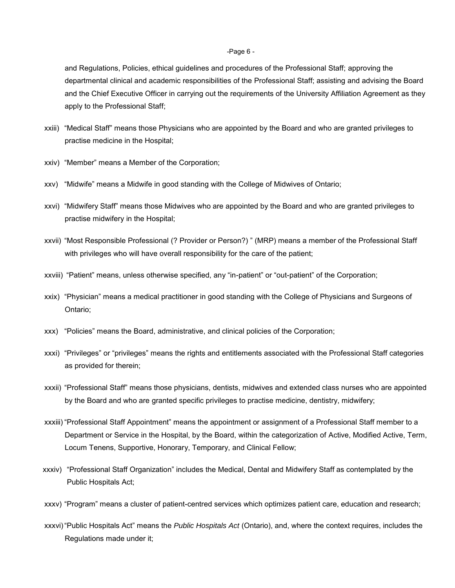#### -Page 6 -

and Regulations, Policies, ethical guidelines and procedures of the Professional Staff; approving the departmental clinical and academic responsibilities of the Professional Staff; assisting and advising the Board and the Chief Executive Officer in carrying out the requirements of the University Affiliation Agreement as they apply to the Professional Staff;

- xxiii) "Medical Staff" means those Physicians who are appointed by the Board and who are granted privileges to practise medicine in the Hospital;
- xxiv) "Member" means a Member of the Corporation;
- xxv) "Midwife" means a Midwife in good standing with the College of Midwives of Ontario;
- xxvi) "Midwifery Staff" means those Midwives who are appointed by the Board and who are granted privileges to practise midwifery in the Hospital;
- xxvii) "Most Responsible Professional (? Provider or Person?) " (MRP) means a member of the Professional Staff with privileges who will have overall responsibility for the care of the patient;
- xxviii) "Patient" means, unless otherwise specified, any "in-patient" or "out-patient" of the Corporation;
- xxix) "Physician" means a medical practitioner in good standing with the College of Physicians and Surgeons of Ontario;
- xxx) "Policies" means the Board, administrative, and clinical policies of the Corporation;
- xxxi) "Privileges" or "privileges" means the rights and entitlements associated with the Professional Staff categories as provided for therein;
- xxxii) "Professional Staff" means those physicians, dentists, midwives and extended class nurses who are appointed by the Board and who are granted specific privileges to practise medicine, dentistry, midwifery;
- xxxiii) "Professional Staff Appointment" means the appointment or assignment of a Professional Staff member to a Department or Service in the Hospital, by the Board, within the categorization of Active, Modified Active, Term, Locum Tenens, Supportive, Honorary, Temporary, and Clinical Fellow;
- xxxiv) "Professional Staff Organization" includes the Medical, Dental and Midwifery Staff as contemplated by the Public Hospitals Act;
- xxxv) "Program" means a cluster of patient-centred services which optimizes patient care, education and research;
- xxxvi) "Public Hospitals Act" means the *Public Hospitals Act* (Ontario), and, where the context requires, includes the Regulations made under it;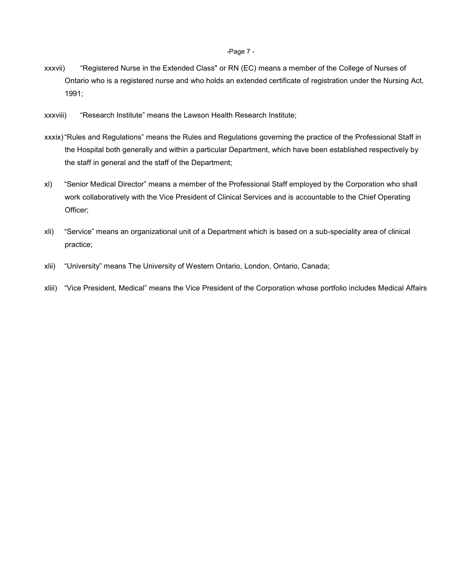#### -Page 7 -

- xxxvii) "Registered Nurse in the Extended Class" or RN (EC) means a member of the College of Nurses of Ontario who is a registered nurse and who holds an extended certificate of registration under the Nursing Act, 1991;
- xxxviii) "Research Institute" means the Lawson Health Research Institute;
- xxxix) "Rules and Regulations" means the Rules and Regulations governing the practice of the Professional Staff in the Hospital both generally and within a particular Department, which have been established respectively by the staff in general and the staff of the Department;
- xl) "Senior Medical Director" means a member of the Professional Staff employed by the Corporation who shall work collaboratively with the Vice President of Clinical Services and is accountable to the Chief Operating Officer;
- xli) "Service" means an organizational unit of a Department which is based on a sub-speciality area of clinical practice;
- xlii) "University" means The University of Western Ontario, London, Ontario, Canada;
- xliii) "Vice President, Medical" means the Vice President of the Corporation whose portfolio includes Medical Affairs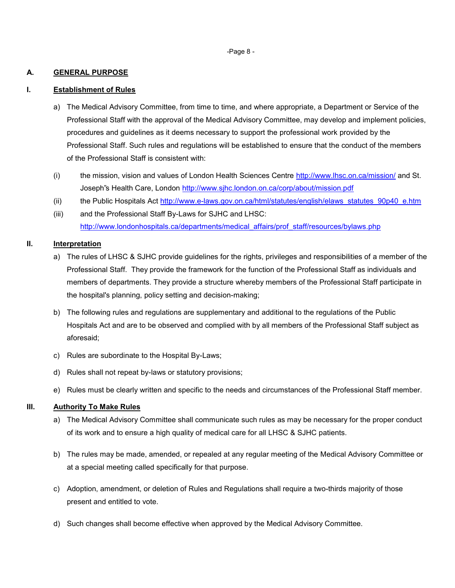-Page 8 -

#### <span id="page-7-0"></span>**A. GENERAL PURPOSE**

#### <span id="page-7-1"></span>**I. Establishment of Rules**

- a) The Medical Advisory Committee, from time to time, and where appropriate, a Department or Service of the Professional Staff with the approval of the Medical Advisory Committee, may develop and implement policies, procedures and guidelines as it deems necessary to support the professional work provided by the Professional Staff. Such rules and regulations will be established to ensure that the conduct of the members of the Professional Staff is consistent with:
- (i) the mission, vision and values of London Health Sciences Centre<http://www.lhsc.on.ca/mission/>and St. Joseph"s Health Care, London<http://www.sjhc.london.on.ca/corp/about/mission.pdf>
- (ii) the Public Hospitals Act [http://www.e-laws.gov.on.ca/html/statutes/english/elaws\\_statutes\\_90p40\\_e.htm](http://www.e-laws.gov.on.ca/html/statutes/english/elaws_statutes_90p40_e.htm)
- (iii) and the Professional Staff By-Laws for SJHC and LHSC: [http://www.londonhospitals.ca/departments/medical\\_affairs/prof\\_staff/resources/bylaws.php](http://www.londonhospitals.ca/departments/medical_affairs/prof_staff/resources/bylaws.php)

#### <span id="page-7-2"></span>**II. Interpretation**

- a) The rules of LHSC & SJHC provide guidelines for the rights, privileges and responsibilities of a member of the Professional Staff. They provide the framework for the function of the Professional Staff as individuals and members of departments. They provide a structure whereby members of the Professional Staff participate in the hospital's planning, policy setting and decision-making;
- b) The following rules and regulations are supplementary and additional to the regulations of the Public Hospitals Act and are to be observed and complied with by all members of the Professional Staff subject as aforesaid;
- c) Rules are subordinate to the Hospital By-Laws;
- d) Rules shall not repeat by-laws or statutory provisions;
- e) Rules must be clearly written and specific to the needs and circumstances of the Professional Staff member.

## <span id="page-7-3"></span>**III. Authority To Make Rules**

- a) The Medical Advisory Committee shall communicate such rules as may be necessary for the proper conduct of its work and to ensure a high quality of medical care for all LHSC & SJHC patients.
- b) The rules may be made, amended, or repealed at any regular meeting of the Medical Advisory Committee or at a special meeting called specifically for that purpose.
- c) Adoption, amendment, or deletion of Rules and Regulations shall require a two-thirds majority of those present and entitled to vote.
- d) Such changes shall become effective when approved by the Medical Advisory Committee.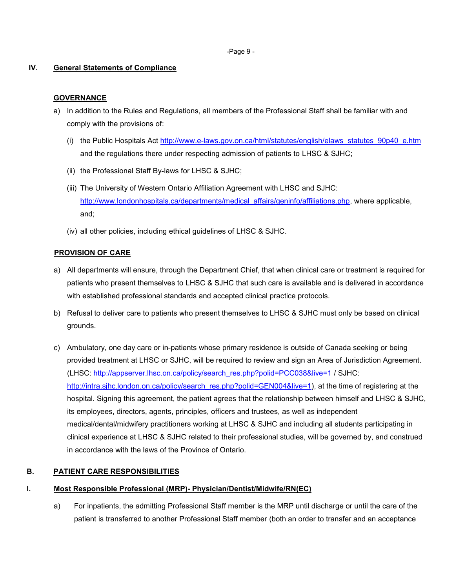-Page 9 -

## <span id="page-8-0"></span> **IV. General Statements of Compliance**

# **GOVERNANCE**

- a) In addition to the Rules and Regulations, all members of the Professional Staff shall be familiar with and comply with the provisions of:
	- (i) the Public Hospitals Act [http://www.e-laws.gov.on.ca/html/statutes/english/elaws\\_statutes\\_90p40\\_e.htm](http://www.e-laws.gov.on.ca/html/statutes/english/elaws_statutes_90p40_e.htm) and the regulations there under respecting admission of patients to LHSC & SJHC;
	- (ii) the Professional Staff By-laws for LHSC & SJHC;
	- (iii) The University of Western Ontario Affiliation Agreement with LHSC and SJHC: [http://www.londonhospitals.ca/departments/medical\\_affairs/geninfo/affiliations.php,](http://www.londonhospitals.ca/departments/medical_affairs/geninfo/affiliations.php) where applicable, and;
	- (iv) all other policies, including ethical guidelines of LHSC & SJHC.

# **PROVISION OF CARE**

- a) All departments will ensure, through the Department Chief, that when clinical care or treatment is required for patients who present themselves to LHSC & SJHC that such care is available and is delivered in accordance with established professional standards and accepted clinical practice protocols.
- b) Refusal to deliver care to patients who present themselves to LHSC & SJHC must only be based on clinical grounds.
- c) Ambulatory, one day care or in-patients whose primary residence is outside of Canada seeking or being provided treatment at LHSC or SJHC, will be required to review and sign an Area of Jurisdiction Agreement. (LHSC: [http://appserver.lhsc.on.ca/policy/search\\_res.php?polid=PCC038&live=1](http://appserver.lhsc.on.ca/policy/search_res.php?polid=PCC038&live=1) / SJHC: [http://intra.sjhc.london.on.ca/policy/search\\_res.php?polid=GEN004&live=1\)](http://intra.sjhc.london.on.ca/policy/search_res.php?polid=GEN004&live=1), at the time of registering at the hospital. Signing this agreement, the patient agrees that the relationship between himself and LHSC & SJHC, its employees, directors, agents, principles, officers and trustees, as well as independent medical/dental/midwifery practitioners working at LHSC & SJHC and including all students participating in clinical experience at LHSC & SJHC related to their professional studies, will be governed by, and construed in accordance with the laws of the Province of Ontario.

# <span id="page-8-1"></span>**B. PATIENT CARE RESPONSIBILITIES**

# <span id="page-8-2"></span>**I. Most Responsible Professional (MRP)- Physician/Dentist/Midwife/RN(EC)**

a) For inpatients, the admitting Professional Staff member is the MRP until discharge or until the care of the patient is transferred to another Professional Staff member (both an order to transfer and an acceptance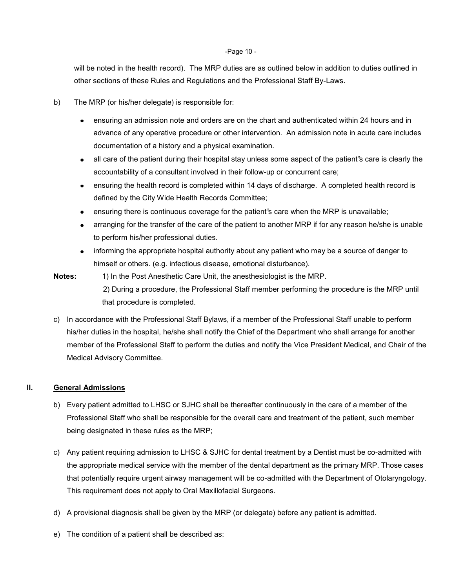#### -Page 10 -

will be noted in the health record). The MRP duties are as outlined below in addition to duties outlined in other sections of these Rules and Regulations and the Professional Staff By-Laws.

- b) The MRP (or his/her delegate) is responsible for:
	- ensuring an admission note and orders are on the chart and authenticated within 24 hours and in advance of any operative procedure or other intervention. An admission note in acute care includes documentation of a history and a physical examination.
	- all care of the patient during their hospital stay unless some aspect of the patient"s care is clearly the accountability of a consultant involved in their follow-up or concurrent care;
	- ensuring the health record is completed within 14 days of discharge. A completed health record is defined by the City Wide Health Records Committee;
	- ensuring there is continuous coverage for the patient"s care when the MRP is unavailable;
	- arranging for the transfer of the care of the patient to another MRP if for any reason he/she is unable to perform his/her professional duties.
	- informing the appropriate hospital authority about any patient who may be a source of danger to himself or others. (e.g. infectious disease, emotional disturbance).
- **Notes:** 1) In the Post Anesthetic Care Unit, the anesthesiologist is the MRP. 2) During a procedure, the Professional Staff member performing the procedure is the MRP until that procedure is completed.
- c) In accordance with the Professional Staff Bylaws, if a member of the Professional Staff unable to perform his/her duties in the hospital, he/she shall notify the Chief of the Department who shall arrange for another member of the Professional Staff to perform the duties and notify the Vice President Medical, and Chair of the Medical Advisory Committee.

## **II. General Admissions**

- b) Every patient admitted to LHSC or SJHC shall be thereafter continuously in the care of a member of the Professional Staff who shall be responsible for the overall care and treatment of the patient, such member being designated in these rules as the MRP;
- c) Any patient requiring admission to LHSC & SJHC for dental treatment by a Dentist must be co-admitted with the appropriate medical service with the member of the dental department as the primary MRP. Those cases that potentially require urgent airway management will be co-admitted with the Department of Otolaryngology. This requirement does not apply to Oral Maxillofacial Surgeons.
- d) A provisional diagnosis shall be given by the MRP (or delegate) before any patient is admitted.
- e) The condition of a patient shall be described as: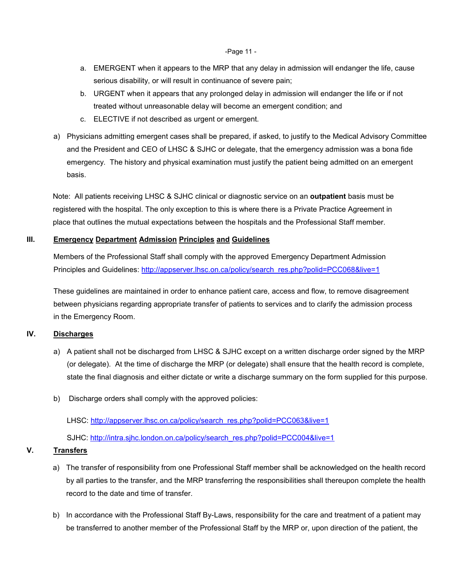-Page 11 -

- a. EMERGENT when it appears to the MRP that any delay in admission will endanger the life, cause serious disability, or will result in continuance of severe pain;
- b. URGENT when it appears that any prolonged delay in admission will endanger the life or if not treated without unreasonable delay will become an emergent condition; and
- c. ELECTIVE if not described as urgent or emergent.
- a) Physicians admitting emergent cases shall be prepared, if asked, to justify to the Medical Advisory Committee and the President and CEO of LHSC & SJHC or delegate, that the emergency admission was a bona fide emergency. The history and physical examination must justify the patient being admitted on an emergent basis.

 Note: All patients receiving LHSC & SJHC clinical or diagnostic service on an **outpatient** basis must be registered with the hospital. The only exception to this is where there is a Private Practice Agreement in place that outlines the mutual expectations between the hospitals and the Professional Staff member.

# <span id="page-10-0"></span>**III. Emergency Department Admission Principles and Guidelines**

Members of the Professional Staff shall comply with the approved Emergency Department Admission Principles and Guidelines: http://appserver.lhsc.on.ca/policy/search\_res.php?polid=PCC068&live=1

These guidelines are maintained in order to enhance patient care, access and flow, to remove disagreement between physicians regarding appropriate transfer of patients to services and to clarify the admission process in the Emergency Room.

# <span id="page-10-1"></span>**IV. Discharges**

- a) A patient shall not be discharged from LHSC & SJHC except on a written discharge order signed by the MRP (or delegate). At the time of discharge the MRP (or delegate) shall ensure that the health record is complete, state the final diagnosis and either dictate or write a discharge summary on the form supplied for this purpose.
- b) Discharge orders shall comply with the approved policies:

LHSC: http://appserver.lhsc.on.ca/policy/search\_res.php?polid=PCC063&live=1

SJHC: [http://intra.sjhc.london.on.ca/policy/search\\_res.php?polid=PCC004&live=1](http://intra.sjhc.london.on.ca/policy/search_res.php?polid=PCC004&live=1)

## <span id="page-10-2"></span>**V. Transfers**

- a) The transfer of responsibility from one Professional Staff member shall be acknowledged on the health record by all parties to the transfer, and the MRP transferring the responsibilities shall thereupon complete the health record to the date and time of transfer.
- b) In accordance with the Professional Staff By-Laws, responsibility for the care and treatment of a patient may be transferred to another member of the Professional Staff by the MRP or, upon direction of the patient, the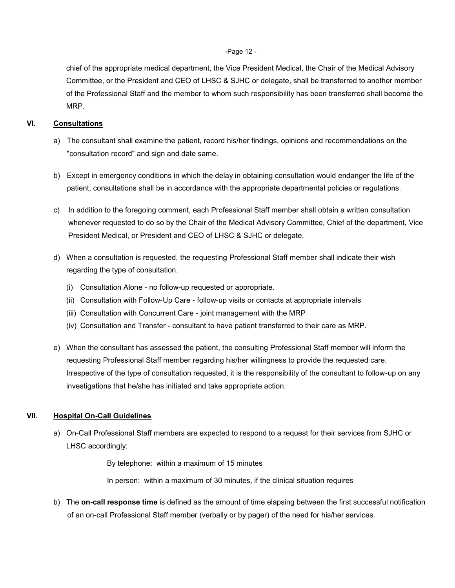#### -Page 12 -

chief of the appropriate medical department, the Vice President Medical, the Chair of the Medical Advisory Committee, or the President and CEO of LHSC & SJHC or delegate, shall be transferred to another member of the Professional Staff and the member to whom such responsibility has been transferred shall become the MRP.

## <span id="page-11-0"></span>**VI. Consultations**

- a) The consultant shall examine the patient, record his/her findings, opinions and recommendations on the "consultation record" and sign and date same.
- b) Except in emergency conditions in which the delay in obtaining consultation would endanger the life of the patient, consultations shall be in accordance with the appropriate departmental policies or regulations.
- c) In addition to the foregoing comment, each Professional Staff member shall obtain a written consultation whenever requested to do so by the Chair of the Medical Advisory Committee, Chief of the department, Vice President Medical, or President and CEO of LHSC & SJHC or delegate.
- d) When a consultation is requested, the requesting Professional Staff member shall indicate their wish regarding the type of consultation.
	- (i) Consultation Alone no follow-up requested or appropriate.
	- (ii) Consultation with Follow-Up Care follow-up visits or contacts at appropriate intervals
	- (iii) Consultation with Concurrent Care joint management with the MRP
	- (iv) Consultation and Transfer consultant to have patient transferred to their care as MRP.
- e) When the consultant has assessed the patient, the consulting Professional Staff member will inform the requesting Professional Staff member regarding his/her willingness to provide the requested care. Irrespective of the type of consultation requested, it is the responsibility of the consultant to follow-up on any investigations that he/she has initiated and take appropriate action.

## <span id="page-11-1"></span>**VII. Hospital On-Call Guidelines**

 a) On-Call Professional Staff members are expected to respond to a request for their services from SJHC or LHSC accordingly:

By telephone: within a maximum of 15 minutes

In person: within a maximum of 30 minutes, if the clinical situation requires

 b) The **on-call response time** is defined as the amount of time elapsing between the first successful notification of an on-call Professional Staff member (verbally or by pager) of the need for his/her services.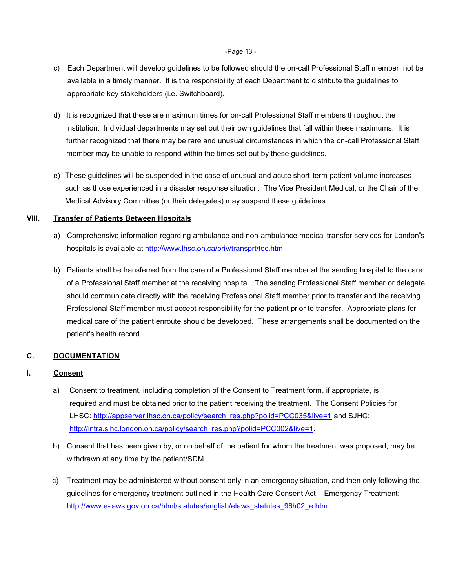#### -Page 13 -

- c) Each Department will develop guidelines to be followed should the on-call Professional Staff member not be available in a timely manner. It is the responsibility of each Department to distribute the guidelines to appropriate key stakeholders (i.e. Switchboard).
- d) It is recognized that these are maximum times for on-call Professional Staff members throughout the institution. Individual departments may set out their own guidelines that fall within these maximums. It is further recognized that there may be rare and unusual circumstances in which the on-call Professional Staff member may be unable to respond within the times set out by these guidelines.
- e) These guidelines will be suspended in the case of unusual and acute short-term patient volume increases such as those experienced in a disaster response situation. The Vice President Medical, or the Chair of the Medical Advisory Committee (or their delegates) may suspend these guidelines.

## <span id="page-12-0"></span>**VIII. Transfer of Patients Between Hospitals**

- a) Comprehensive information regarding ambulance and non-ambulance medical transfer services for London"s hospitals is available at <http://www.lhsc.on.ca/priv/transprt/toc.htm>
- b) Patients shall be transferred from the care of a Professional Staff member at the sending hospital to the care of a Professional Staff member at the receiving hospital. The sending Professional Staff member or delegate should communicate directly with the receiving Professional Staff member prior to transfer and the receiving Professional Staff member must accept responsibility for the patient prior to transfer. Appropriate plans for medical care of the patient enroute should be developed. These arrangements shall be documented on the patient's health record.

## <span id="page-12-1"></span>**C. DOCUMENTATION**

## <span id="page-12-2"></span>**I. Consent**

- a) Consent to treatment, including completion of the Consent to Treatment form, if appropriate, is required and must be obtained prior to the patient receiving the treatment. The Consent Policies for LHSC: [http://appserver.lhsc.on.ca/policy/search\\_res.php?polid=PCC035&live=1](http://appserver.lhsc.on.ca/policy/search_res.php?polid=PCC035&live=1) and SJHC: [http://intra.sjhc.london.on.ca/policy/search\\_res.php?polid=PCC002&live=1.](http://intra.sjhc.london.on.ca/policy/search_res.php?polid=PCC002&live=1)
- b) Consent that has been given by, or on behalf of the patient for whom the treatment was proposed, may be withdrawn at any time by the patient/SDM.
- c) Treatment may be administered without consent only in an emergency situation, and then only following the guidelines for emergency treatment outlined in the Health Care Consent Act – Emergency Treatment: [http://www.e-laws.gov.on.ca/html/statutes/english/elaws\\_statutes\\_96h02\\_e.htm](http://www.e-laws.gov.on.ca/html/statutes/english/elaws_statutes_96h02_e.htm)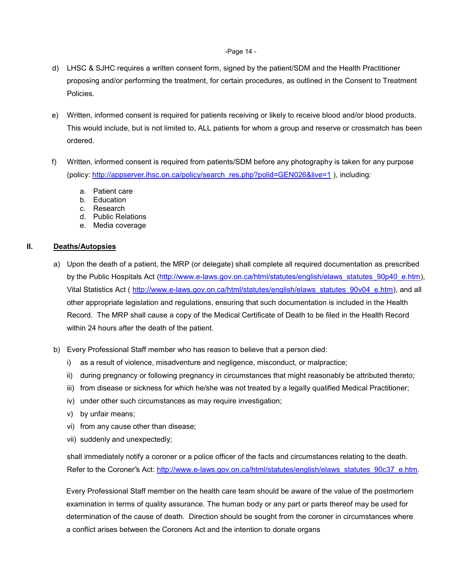#### -Page 14 -

- d) LHSC & SJHC requires a written consent form, signed by the patient/SDM and the Health Practitioner proposing and/or performing the treatment, for certain procedures, as outlined in the Consent to Treatment Policies.
- e) Written, informed consent is required for patients receiving or likely to receive blood and/or blood products. This would include, but is not limited to, ALL patients for whom a group and reserve or crossmatch has been ordered.
- f) Written, informed consent is required from patients/SDM before any photography is taken for any purpose (policy: [http://appserver.lhsc.on.ca/policy/search\\_res.php?polid=GEN026&live=1](http://appserver.lhsc.on.ca/policy/search_res.php?polid=GEN026&live=1) ), including:
	- a. Patient care
	- b. Education
	- c. Research
	- d. Public Relations
	- e. Media coverage

## <span id="page-13-0"></span>**II. Deaths/Autopsies**

- a) Upon the death of a patient, the MRP (or delegate) shall complete all required documentation as prescribed by the Public Hospitals Act [\(http://www.e-laws.gov.on.ca/html/statutes/english/elaws\\_statutes\\_90p40\\_e.htm\)](http://www.e-laws.gov.on.ca/html/statutes/english/elaws_statutes_90p40_e.htm), Vital Statistics Act ( [http://www.e-laws.gov.on.ca/html/statutes/english/elaws\\_statutes\\_90v04\\_e.htm\)](http://www.e-laws.gov.on.ca/html/statutes/english/elaws_statutes_90v04_e.htm), and all other appropriate legislation and regulations, ensuring that such documentation is included in the Health Record. The MRP shall cause a copy of the Medical Certificate of Death to be filed in the Health Record within 24 hours after the death of the patient.
- b) Every Professional Staff member who has reason to believe that a person died:
	- i) as a result of violence, misadventure and negligence, misconduct, or malpractice;
	- ii) during pregnancy or following pregnancy in circumstances that might reasonably be attributed thereto;
	- iii) from disease or sickness for which he/she was not treated by a legally qualified Medical Practitioner;
	- iv) under other such circumstances as may require investigation;
	- v) by unfair means;
	- vi) from any cause other than disease;
	- vii) suddenly and unexpectedly;

 shall immediately notify a coroner or a police officer of the facts and circumstances relating to the death. Refer to the Coroner"s Act: [http://www.e-laws.gov.on.ca/html/statutes/english/elaws\\_statutes\\_90c37\\_e.htm.](http://www.e-laws.gov.on.ca/html/statutes/english/elaws_statutes_90c37_e.htm)

 Every Professional Staff member on the health care team should be aware of the value of the postmortem examination in terms of quality assurance. The human body or any part or parts thereof may be used for determination of the cause of death. Direction should be sought from the coroner in circumstances where a conflict arises between the Coroners Act and the intention to donate organs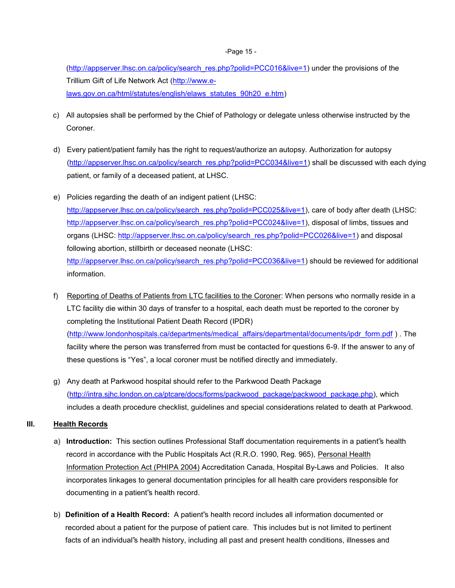#### -Page 15 -

[\(http://appserver.lhsc.on.ca/policy/search\\_res.php?polid=PCC016&live=1\)](http://appserver.lhsc.on.ca/policy/search_res.php?polid=PCC016&live=1) under the provisions of the Trillium Gift of Life Network Act [\(http://www.e](http://www.e-laws.gov.on.ca/html/statutes/english/elaws_statutes_90h20_e.htm)[laws.gov.on.ca/html/statutes/english/elaws\\_statutes\\_90h20\\_e.htm\)](http://www.e-laws.gov.on.ca/html/statutes/english/elaws_statutes_90h20_e.htm)

- c) All autopsies shall be performed by the Chief of Pathology or delegate unless otherwise instructed by the Coroner.
- d) Every patient/patient family has the right to request/authorize an autopsy. Authorization for autopsy [\(http://appserver.lhsc.on.ca/policy/search\\_res.php?polid=PCC034&live=1\)](http://appserver.lhsc.on.ca/policy/search_res.php?polid=PCC034&live=1) shall be discussed with each dying patient, or family of a deceased patient, at LHSC.
- e) Policies regarding the death of an indigent patient (LHSC: [http://appserver.lhsc.on.ca/policy/search\\_res.php?polid=PCC025&live=1\)](http://appserver.lhsc.on.ca/policy/search_res.php?polid=PCC025&live=1), care of body after death (LHSC: [http://appserver.lhsc.on.ca/policy/search\\_res.php?polid=PCC024&live=1\)](http://appserver.lhsc.on.ca/policy/search_res.php?polid=PCC024&live=1), disposal of limbs, tissues and organs (LHSC: [http://appserver.lhsc.on.ca/policy/search\\_res.php?polid=PCC026&live=1\)](http://appserver.lhsc.on.ca/policy/search_res.php?polid=PCC026&live=1) and disposal following abortion, stillbirth or deceased neonate (LHSC: [http://appserver.lhsc.on.ca/policy/search\\_res.php?polid=PCC036&live=1\)](http://appserver.lhsc.on.ca/policy/search_res.php?polid=PCC036&live=1) should be reviewed for additional information.
- f) Reporting of Deaths of Patients from LTC facilities to the Coroner: When persons who normally reside in a LTC facility die within 30 days of transfer to a hospital, each death must be reported to the coroner by completing the Institutional Patient Death Record (IPDR) [\(http://www.londonhospitals.ca/departments/medical\\_affairs/departmental/documents/ipdr\\_form.pdf](http://www.londonhospitals.ca/departments/medical_affairs/departmental/documents/ipdr_form.pdf) ) . The facility where the person was transferred from must be contacted for questions 6-9. If the answer to any of these questions is "Yes", a local coroner must be notified directly and immediately.
- g) Any death at Parkwood hospital should refer to the Parkwood Death Package [\(http://intra.sjhc.london.on.ca/ptcare/docs/forms/packwood\\_package/packwood\\_package.php\)](http://intra.sjhc.london.on.ca/ptcare/docs/forms/packwood_package/packwood_package.php), which includes a death procedure checklist, guidelines and special considerations related to death at Parkwood.

## <span id="page-14-0"></span>**III. Health Records**

- a) **Introduction:** This section outlines Professional Staff documentation requirements in a patient"s health record in accordance with the Public Hospitals Act (R.R.O. 1990, Reg. 965), [Personal Health](http://www.e-laws.gov.on.ca/html/statutes/english/elaws_statutes_04p03_e.htm)  [Information Protection Act \(PHIPA 2004\)](http://www.e-laws.gov.on.ca/html/statutes/english/elaws_statutes_04p03_e.htm) Accreditation Canada, Hospital By-Laws and Policies. It also incorporates linkages to general documentation principles for all health care providers responsible for documenting in a patient"s health record.
- b) **Definition of a Health Record:** A patient"s health record includes all information documented or recorded about a patient for the purpose of patient care. This includes but is not limited to pertinent facts of an individual"s health history, including all past and present health conditions, illnesses and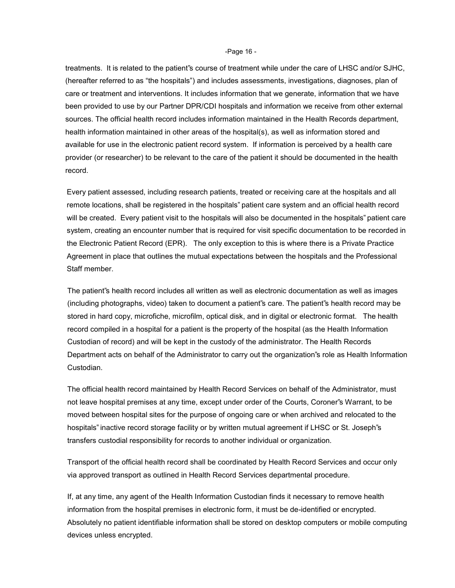-Page 16 -

treatments. It is related to the patient"s course of treatment while under the care of LHSC and/or SJHC, (hereafter referred to as "the hospitals") and includes assessments, investigations, diagnoses, plan of care or treatment and interventions. It includes information that we generate, information that we have been provided to use by our Partner DPR/CDI hospitals and information we receive from other external sources. The official health record includes information maintained in the Health Records department, health information maintained in other areas of the hospital(s), as well as information stored and available for use in the electronic patient record system. If information is perceived by a health care provider (or researcher) to be relevant to the care of the patient it should be documented in the health record.

 Every patient assessed, including research patients, treated or receiving care at the hospitals and all remote locations, shall be registered in the hospitals" patient care system and an official health record will be created. Every patient visit to the hospitals will also be documented in the hospitals" patient care system, creating an encounter number that is required for visit specific documentation to be recorded in the Electronic Patient Record (EPR). The only exception to this is where there is a Private Practice Agreement in place that outlines the mutual expectations between the hospitals and the Professional Staff member.

The patient"s health record includes all written as well as electronic documentation as well as images (including photographs, video) taken to document a patient"s care. The patient"s health record may be stored in hard copy, microfiche, microfilm, optical disk, and in digital or electronic format. The health record compiled in a hospital for a patient is the property of the hospital (as the Health Information Custodian of record) and will be kept in the custody of the administrator. The Health Records Department acts on behalf of the Administrator to carry out the organization"s role as Health Information Custodian.

The official health record maintained by Health Record Services on behalf of the Administrator, must not leave hospital premises at any time, except under order of the Courts, Coroner"s Warrant, to be moved between hospital sites for the purpose of ongoing care or when archived and relocated to the hospitals" inactive record storage facility or by written mutual agreement if LHSC or St. Joseph"s transfers custodial responsibility for records to another individual or organization.

Transport of the official health record shall be coordinated by Health Record Services and occur only via approved transport as outlined in Health Record Services departmental procedure.

If, at any time, any agent of the Health Information Custodian finds it necessary to remove health information from the hospital premises in electronic form, it must be de-identified or encrypted. Absolutely no patient identifiable information shall be stored on desktop computers or mobile computing devices unless encrypted.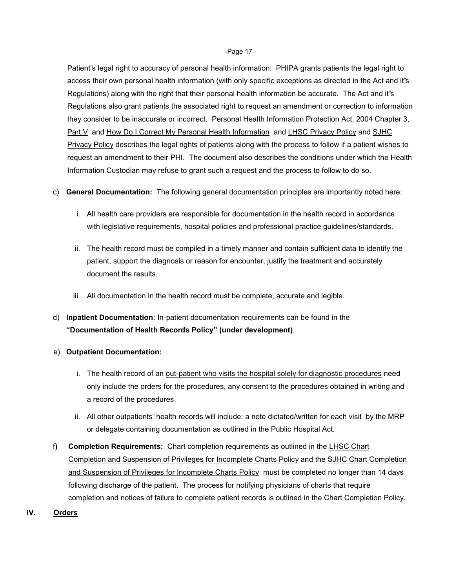#### -Page 17 -

Patient"s legal right to accuracy of personal health information: PHIPA grants patients the legal right to access their own personal health information (with only specific exceptions as directed in the Act and it"s Regulations) along with the right that their personal health information be accurate. The Act and it"s Regulations also grant patients the associated right to request an amendment or correction to information they consider to be inaccurate or incorrect. [Personal Health Information Protection Act, 2004 Chapter 3,](http://www.e-laws.gov.on.ca/html/statutes/english/elaws_statutes_04p03_e.htm#BK66)  [Part V](http://www.e-laws.gov.on.ca/html/statutes/english/elaws_statutes_04p03_e.htm#BK66) and [How Do I Correct My Personal Health Information](http://www.lhsc.on.ca/Patients_Families_Visitors/Privacy/How_Do_I_Correct_My_Personal_Health_Information.htm)and [LHSC Privacy Policy](http://appserver.lhsc.on.ca/policy/search_res.php?polid=GEN020&live=1) and [SJHC](http://intra.sjhc.london.on.ca/policy/search_res.php?polid=GEN002&live=1)  [Privacy Policy](http://intra.sjhc.london.on.ca/policy/search_res.php?polid=GEN002&live=1) describes the legal rights of patients along with the process to follow if a patient wishes to request an amendment to their PHI. The document also describes the conditions under which the Health Information Custodian may refuse to grant such a request and the process to follow to do so.

- c) **General Documentation:** The following general documentation principles are importantly noted here:
	- i. All health care providers are responsible for documentation in the health record in accordance with legislative requirements, hospital policies and professional practice guidelines/standards.
	- ii. The health record must be compiled in a timely manner and contain sufficient data to identify the patient, support the diagnosis or reason for encounter, justify the treatment and accurately document the results.
	- iii. All documentation in the health record must be complete, accurate and legible.
- d) **Inpatient Documentation**: In-patient documentation requirements can be found in the **"Documentation of Health Records Policy" (under development)**.
- e) **Outpatient Documentation:** 
	- i. The health record of an out-patient who visits the hospital solely for diagnostic procedures need only include the orders for the procedures, any consent to the procedures obtained in writing and a record of the procedures.
	- ii. All other outpatients" health records will include: a note dictated/written for each visit by the MRP or delegate containing documentation as outlined in the Public Hospital Act.
- f**) Completion Requirements:** Chart completion requirements as outlined in the [LHSC Chart](http://www.londonhospitals.ca/departments/medical_affairs/departmental/policies/documents/lhsc_policy.pdf)  [Completion and Suspension of Privileges for Incomplete Charts Policy](http://www.londonhospitals.ca/departments/medical_affairs/departmental/policies/documents/lhsc_policy.pdf) and the [SJHC Chart Completion](http://www.londonhospitals.ca/departments/medical_affairs/departmental/policies/documents/sjhc_policy.pdf)  [and Suspension of Privileges for Incomplete Charts Policy](http://www.londonhospitals.ca/departments/medical_affairs/departmental/policies/documents/sjhc_policy.pdf) must be completed no longer than 14 days following discharge of the patient. The process for notifying physicians of charts that require completion and notices of failure to complete patient records is outlined in the Chart Completion Policy.
- <span id="page-16-0"></span>**IV. Orders**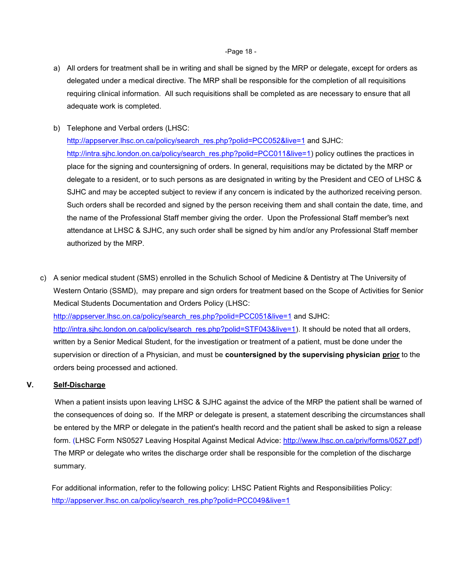-Page 18 -

- a) All orders for treatment shall be in writing and shall be signed by the MRP or delegate, except for orders as delegated under a medical directive. The MRP shall be responsible for the completion of all requisitions requiring clinical information. All such requisitions shall be completed as are necessary to ensure that all adequate work is completed.
- b) Telephone and Verbal orders (LHSC:

[http://appserver.lhsc.on.ca/policy/search\\_res.php?polid=PCC052&live=1](http://appserver.lhsc.on.ca/policy/search_res.php?polid=PCC052&live=1) and SJHC: [http://intra.sjhc.london.on.ca/policy/search\\_res.php?polid=PCC011&live=1\)](http://intra.sjhc.london.on.ca/policy/search_res.php?polid=PCC011&live=1) policy outlines the practices in place for the signing and countersigning of orders. In general, requisitions may be dictated by the MRP or delegate to a resident, or to such persons as are designated in writing by the President and CEO of LHSC & SJHC and may be accepted subject to review if any concern is indicated by the authorized receiving person. Such orders shall be recorded and signed by the person receiving them and shall contain the date, time, and the name of the Professional Staff member giving the order. Upon the Professional Staff member"s next attendance at LHSC & SJHC, any such order shall be signed by him and/or any Professional Staff member authorized by the MRP.

c) A senior medical student (SMS) enrolled in the Schulich School of Medicine & Dentistry at The University of Western Ontario (SSMD), may prepare and sign orders for treatment based on the Scope of Activities for Senior Medical Students Documentation and Orders Policy (LHSC: [http://appserver.lhsc.on.ca/policy/search\\_res.php?polid=PCC051&live=1](http://appserver.lhsc.on.ca/policy/search_res.php?polid=PCC051&live=1) and SJHC:

[http://intra.sjhc.london.on.ca/policy/search\\_res.php?polid=STF043&live=1\)](http://intra.sjhc.london.on.ca/policy/search_res.php?polid=STF043&live=1). It should be noted that all orders, written by a Senior Medical Student, for the investigation or treatment of a patient, must be done under the supervision or direction of a Physician, and must be **countersigned by the supervising physician prior** to the orders being processed and actioned.

## <span id="page-17-0"></span>**V. Self-Discharge**

When a patient insists upon leaving LHSC & SJHC against the advice of the MRP the patient shall be warned of the consequences of doing so. If the MRP or delegate is present, a statement describing the circumstances shall be entered by the MRP or delegate in the patient's health record and the patient shall be asked to sign a release form. (LHSC Form NS0527 Leaving Hospital Against Medical Advice: [http://www.lhsc.on.ca/priv/forms/0527.pdf\)](http://www.lhsc.on.ca/priv/forms/0527.pdf) The MRP or delegate who writes the discharge order shall be responsible for the completion of the discharge summary.

 For additional information, refer to the following policy: LHSC Patient Rights and Responsibilities Policy: http://appserver.lhsc.on.ca/policy/search\_res.php?polid=PCC049&live=1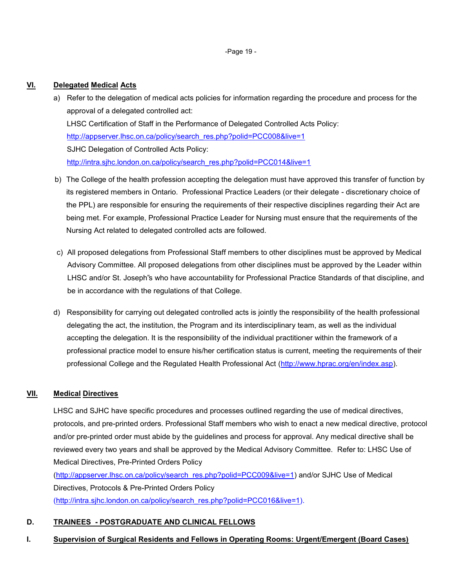-Page 19 -

## <span id="page-18-0"></span>**VI. Delegated Medical Acts**

- a) Refer to the delegation of medical acts policies for information regarding the procedure and process for the approval of a delegated controlled act: LHSC Certification of Staff in the Performance of Delegated Controlled Acts Policy: http://appserver.lhsc.on.ca/policy/search\_res.php?polid=PCC008&live=1 SJHC Delegation of Controlled Acts Policy: [http://intra.sjhc.london.on.ca/policy/search\\_res.php?polid=PCC014&live=1](http://intra.sjhc.london.on.ca/policy/search_res.php?polid=PCC014&live=1)
- b) The College of the health profession accepting the delegation must have approved this transfer of function by its registered members in Ontario. Professional Practice Leaders (or their delegate - discretionary choice of the PPL) are responsible for ensuring the requirements of their respective disciplines regarding their Act are being met. For example, Professional Practice Leader for Nursing must ensure that the requirements of the Nursing Act related to delegated controlled acts are followed.
- c) All proposed delegations from Professional Staff members to other disciplines must be approved by Medical Advisory Committee. All proposed delegations from other disciplines must be approved by the Leader within LHSC and/or St. Joseph"s who have accountability for Professional Practice Standards of that discipline, and be in accordance with the regulations of that College.
- d) Responsibility for carrying out delegated controlled acts is jointly the responsibility of the health professional delegating the act, the institution, the Program and its interdisciplinary team, as well as the individual accepting the delegation. It is the responsibility of the individual practitioner within the framework of a professional practice model to ensure his/her certification status is current, meeting the requirements of their professional College and the Regulated Health Professional Act [\(http://www.hprac.org/en/index.asp\)](http://www.hprac.org/en/index.asp).

# <span id="page-18-1"></span>**VII. Medical Directives**

LHSC and SJHC have specific procedures and processes outlined regarding the use of medical directives, protocols, and pre-printed orders. Professional Staff members who wish to enact a new medical directive, protocol and/or pre-printed order must abide by the guidelines and process for approval. Any medical directive shall be reviewed every two years and shall be approved by the Medical Advisory Committee. Refer to: LHSC Use of Medical Directives, Pre-Printed Orders Policy [\(http://appserver.lhsc.on.ca/policy/search\\_res.php?polid=PCC009&live=1\)](http://appserver.lhsc.on.ca/policy/search_res.php?polid=PCC009&live=1) and/or SJHC Use of Medical

Directives, Protocols & Pre-Printed Orders Policy [\(http://intra.sjhc.london.on.ca/policy/search\\_res.php?polid=PCC016&live=1\)](http://intra.sjhc.london.on.ca/policy/search_res.php?polid=PCC016&live=1).

## <span id="page-18-2"></span>**D. TRAINEES - POSTGRADUATE AND CLINICAL FELLOWS**

## <span id="page-18-3"></span>**I. Supervision of Surgical Residents and Fellows in Operating Rooms: Urgent/Emergent (Board Cases)**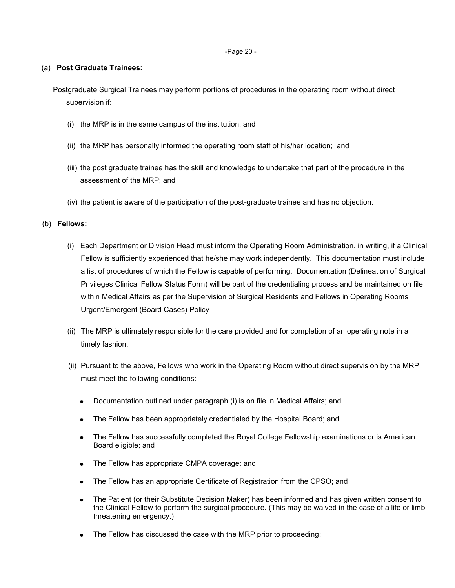-Page 20 -

#### (a) **Post Graduate Trainees:**

Postgraduate Surgical Trainees may perform portions of procedures in the operating room without direct supervision if:

- (i) the MRP is in the same campus of the institution; and
- (ii) the MRP has personally informed the operating room staff of his/her location; and
- (iii) the post graduate trainee has the skill and knowledge to undertake that part of the procedure in the assessment of the MRP; and
- (iv) the patient is aware of the participation of the post-graduate trainee and has no objection.

## (b) **Fellows:**

- (i) Each Department or Division Head must inform the Operating Room Administration, in writing, if a Clinical Fellow is sufficiently experienced that he/she may work independently. This documentation must include a list of procedures of which the Fellow is capable of performing. Documentation (Delineation of Surgical Privileges Clinical Fellow Status Form) will be part of the credentialing process and be maintained on file within Medical Affairs as per the Supervision of Surgical Residents and Fellows in Operating Rooms Urgent/Emergent (Board Cases) Policy
- (ii) The MRP is ultimately responsible for the care provided and for completion of an operating note in a timely fashion.
- (ii) Pursuant to the above, Fellows who work in the Operating Room without direct supervision by the MRP must meet the following conditions:
	- Documentation outlined under paragraph (i) is on file in Medical Affairs; and
	- The Fellow has been appropriately credentialed by the Hospital Board; and
	- The Fellow has successfully completed the Royal College Fellowship examinations or is American Board eligible; and
	- The Fellow has appropriate CMPA coverage; and
	- The Fellow has an appropriate Certificate of Registration from the CPSO; and
	- The Patient (or their Substitute Decision Maker) has been informed and has given written consent to the Clinical Fellow to perform the surgical procedure. (This may be waived in the case of a life or limb threatening emergency.)
	- The Fellow has discussed the case with the MRP prior to proceeding;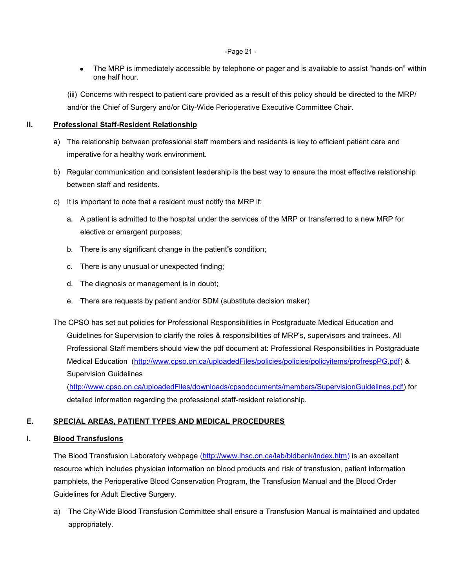#### -Page 21 -

• The MRP is immediately accessible by telephone or pager and is available to assist "hands-on" within one half hour.

(iii) Concerns with respect to patient care provided as a result of this policy should be directed to the MRP/ and/or the Chief of Surgery and/or City-Wide Perioperative Executive Committee Chair.

## **II. Professional Staff-Resident Relationship**

- a) The relationship between professional staff members and residents is key to efficient patient care and imperative for a healthy work environment.
- b) Regular communication and consistent leadership is the best way to ensure the most effective relationship between staff and residents.
- c) It is important to note that a resident must notify the MRP if:
	- a. A patient is admitted to the hospital under the services of the MRP or transferred to a new MRP for elective or emergent purposes;
	- b. There is any significant change in the patient"s condition;
	- c. There is any unusual or unexpected finding;
	- d. The diagnosis or management is in doubt;
	- e. There are requests by patient and/or SDM (substitute decision maker)

The CPSO has set out policies for Professional Responsibilities in Postgraduate Medical Education and Guidelines for Supervision to clarify the roles & responsibilities of MRP"s, supervisors and trainees. All Professional Staff members should view the pdf document at: Professional Responsibilities in Postgraduate Medical Education [\(http://www.cpso.on.ca/uploadedFiles/policies/policies/policyitems/profrespPG.pdf\)](http://www.cpso.on.ca/uploadedFiles/policies/policies/policyitems/profrespPG.pdf) & Supervision Guidelines

[\(http://www.cpso.on.ca/uploadedFiles/downloads/cpsodocuments/members/SupervisionGuidelines.pdf\)](http://www.cpso.on.ca/uploadedFiles/downloads/cpsodocuments/members/SupervisionGuidelines.pdf) for detailed information regarding the professional staff-resident relationship.

# **E. SPECIAL AREAS, PATIENT TYPES AND MEDICAL PROCEDURES**

## **I. Blood Transfusions**

The Blood Transfusion Laboratory webpage [\(http://www.lhsc.on.ca/lab/bldbank/index.htm\)](http://www.lhsc.on.ca/lab/bldbank/index.htm) is an excellent resource which includes physician information on blood products and risk of transfusion, patient information pamphlets, the Perioperative Blood Conservation Program, the Transfusion Manual and the Blood Order Guidelines for Adult Elective Surgery.

a) The City-Wide Blood Transfusion Committee shall ensure a Transfusion Manual is maintained and updated appropriately.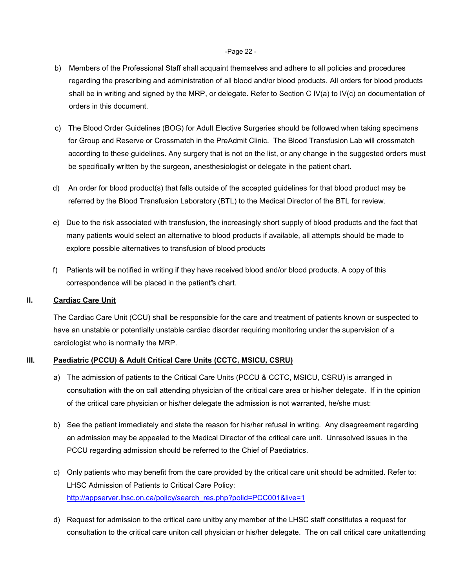#### -Page 22 -

- b) Members of the Professional Staff shall acquaint themselves and adhere to all policies and procedures regarding the prescribing and administration of all blood and/or blood products. All orders for blood products shall be in writing and signed by the MRP, or delegate. Refer to Section C IV(a) to IV(c) on documentation of orders in this document.
- c) The Blood Order Guidelines (BOG) for Adult Elective Surgeries should be followed when taking specimens for Group and Reserve or Crossmatch in the PreAdmit Clinic. The Blood Transfusion Lab will crossmatch according to these guidelines. Any surgery that is not on the list, or any change in the suggested orders must be specifically written by the surgeon, anesthesiologist or delegate in the patient chart.
- d) An order for blood product(s) that falls outside of the accepted guidelines for that blood product may be referred by the Blood Transfusion Laboratory (BTL) to the Medical Director of the BTL for review.
- e) Due to the risk associated with transfusion, the increasingly short supply of blood products and the fact that many patients would select an alternative to blood products if available, all attempts should be made to explore possible alternatives to transfusion of blood products
- f) Patients will be notified in writing if they have received blood and/or blood products. A copy of this correspondence will be placed in the patient"s chart.

## <span id="page-21-0"></span>**II. Cardiac Care Unit**

The Cardiac Care Unit (CCU) shall be responsible for the care and treatment of patients known or suspected to have an unstable or potentially unstable cardiac disorder requiring monitoring under the supervision of a cardiologist who is normally the MRP.

## <span id="page-21-1"></span>**III. Paediatric (PCCU) & Adult Critical Care Units (CCTC, MSICU, CSRU)**

- a) The admission of patients to the Critical Care Units (PCCU & CCTC, MSICU, CSRU) is arranged in consultation with the on call attending physician of the critical care area or his/her delegate. If in the opinion of the critical care physician or his/her delegate the admission is not warranted, he/she must:
- b) See the patient immediately and state the reason for his/her refusal in writing. Any disagreement regarding an admission may be appealed to the Medical Director of the critical care unit. Unresolved issues in the PCCU regarding admission should be referred to the Chief of Paediatrics.
- c) Only patients who may benefit from the care provided by the critical care unit should be admitted. Refer to: LHSC Admission of Patients to Critical Care Policy: http://appserver.lhsc.on.ca/policy/search\_res.php?polid=PCC001&live=1
- d) Request for admission to the critical care unitby any member of the LHSC staff constitutes a request for consultation to the critical care uniton call physician or his/her delegate. The on call critical care unitattending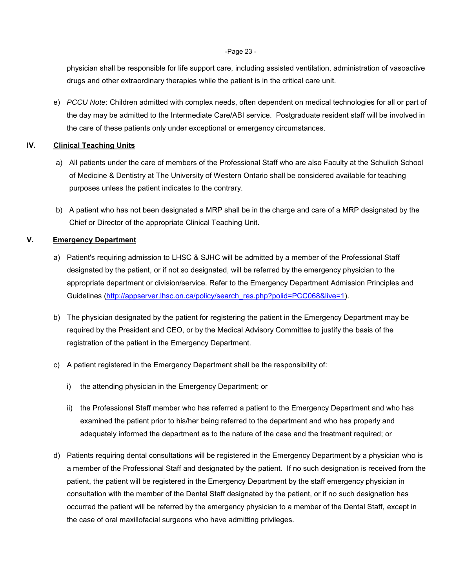-Page 23 -

physician shall be responsible for life support care, including assisted ventilation, administration of vasoactive drugs and other extraordinary therapies while the patient is in the critical care unit.

e) *PCCU Note*: Children admitted with complex needs, often dependent on medical technologies for all or part of the day may be admitted to the Intermediate Care/ABI service. Postgraduate resident staff will be involved in the care of these patients only under exceptional or emergency circumstances.

## <span id="page-22-0"></span>**IV. Clinical Teaching Units**

- a) All patients under the care of members of the Professional Staff who are also Faculty at the Schulich School of Medicine & Dentistry at The University of Western Ontario shall be considered available for teaching purposes unless the patient indicates to the contrary.
- b) A patient who has not been designated a MRP shall be in the charge and care of a MRP designated by the Chief or Director of the appropriate Clinical Teaching Unit.

## <span id="page-22-1"></span>**V. Emergency Department**

- a) Patient's requiring admission to LHSC & SJHC will be admitted by a member of the Professional Staff designated by the patient, or if not so designated, will be referred by the emergency physician to the appropriate department or division/service. Refer to the Emergency Department Admission Principles and Guidelines [\(http://appserver.lhsc.on.ca/policy/search\\_res.php?polid=PCC068&live=1\)](http://appserver.lhsc.on.ca/policy/search_res.php?polid=PCC068&live=1).
- b) The physician designated by the patient for registering the patient in the Emergency Department may be required by the President and CEO, or by the Medical Advisory Committee to justify the basis of the registration of the patient in the Emergency Department.
- c) A patient registered in the Emergency Department shall be the responsibility of:
	- i) the attending physician in the Emergency Department; or
	- ii) the Professional Staff member who has referred a patient to the Emergency Department and who has examined the patient prior to his/her being referred to the department and who has properly and adequately informed the department as to the nature of the case and the treatment required; or
- d) Patients requiring dental consultations will be registered in the Emergency Department by a physician who is a member of the Professional Staff and designated by the patient. If no such designation is received from the patient, the patient will be registered in the Emergency Department by the staff emergency physician in consultation with the member of the Dental Staff designated by the patient, or if no such designation has occurred the patient will be referred by the emergency physician to a member of the Dental Staff, except in the case of oral maxillofacial surgeons who have admitting privileges.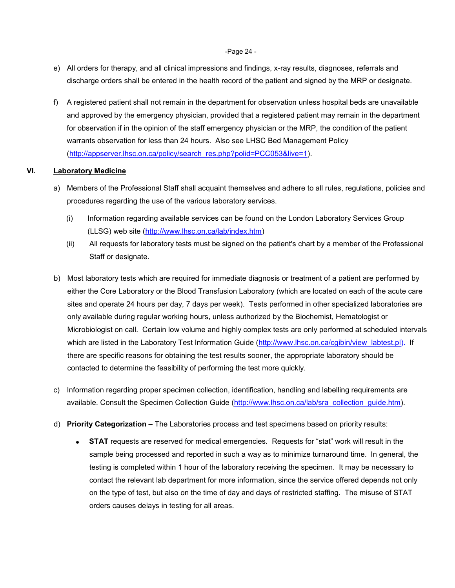#### -Page 24 -

- e) All orders for therapy, and all clinical impressions and findings, x-ray results, diagnoses, referrals and discharge orders shall be entered in the health record of the patient and signed by the MRP or designate.
- f) A registered patient shall not remain in the department for observation unless hospital beds are unavailable and approved by the emergency physician, provided that a registered patient may remain in the department for observation if in the opinion of the staff emergency physician or the MRP, the condition of the patient warrants observation for less than 24 hours. Also see LHSC Bed Management Policy [\(http://appserver.lhsc.on.ca/policy/search\\_res.php?polid=PCC053&live=1\)](http://appserver.lhsc.on.ca/policy/search_res.php?polid=PCC053&live=1).

## **VI. Laboratory Medicine**

- a) Members of the Professional Staff shall acquaint themselves and adhere to all rules, regulations, policies and procedures regarding the use of the various laboratory services.
	- (i) Information regarding available services can be found on the London Laboratory Services Group (LLSG) web site [\(http://www.lhsc.on.ca/lab/index.htm\)](http://www.lhsc.on.ca/lab/index.htm)
	- (ii) All requests for laboratory tests must be signed on the patient's chart by a member of the Professional Staff or designate.
- b) Most laboratory tests which are required for immediate diagnosis or treatment of a patient are performed by either the Core Laboratory or the Blood Transfusion Laboratory (which are located on each of the acute care sites and operate 24 hours per day, 7 days per week). Tests performed in other specialized laboratories are only available during regular working hours, unless authorized by the Biochemist, Hematologist or Microbiologist on call. Certain low volume and highly complex tests are only performed at scheduled intervals which are listed in the Laboratory Test Information Guide [\(http://www.lhsc.on.ca/cgibin/view\\_labtest.pl\)](http://www.lhsc.on.ca/cgibin/view_labtest.pl). If there are specific reasons for obtaining the test results sooner, the appropriate laboratory should be contacted to determine the feasibility of performing the test more quickly.
- c) Information regarding proper specimen collection, identification, handling and labelling requirements are available. Consult the Specimen Collection Guide [\(http://www.lhsc.on.ca/lab/sra\\_collection\\_guide.htm\)](http://www.lhsc.on.ca/lab/sra_collection_guide.htm).
- d) **Priority Categorization –** The Laboratories process and test specimens based on priority results:
	- **STAT** requests are reserved for medical emergencies. Requests for "stat" work will result in the  $\bullet$ sample being processed and reported in such a way as to minimize turnaround time. In general, the testing is completed within 1 hour of the laboratory receiving the specimen. It may be necessary to contact the relevant lab department for more information, since the service offered depends not only on the type of test, but also on the time of day and days of restricted staffing. The misuse of STAT orders causes delays in testing for all areas.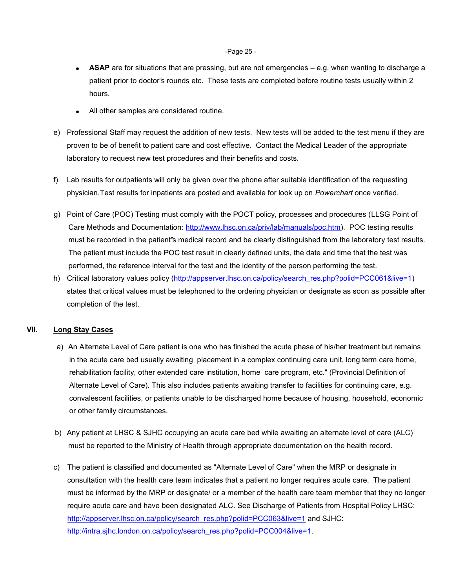#### -Page 25 -

- $\bullet$ **ASAP** are for situations that are pressing, but are not emergencies – e.g. when wanting to discharge a patient prior to doctor"s rounds etc. These tests are completed before routine tests usually within 2 hours.
- All other samples are considered routine.
- e) Professional Staff may request the addition of new tests. New tests will be added to the test menu if they are proven to be of benefit to patient care and cost effective. Contact the Medical Leader of the appropriate laboratory to request new test procedures and their benefits and costs.
- f) Lab results for outpatients will only be given over the phone after suitable identification of the requesting physician.Test results for inpatients are posted and available for look up on *Powerchart* once verified.
- g) Point of Care (POC) Testing must comply with the POCT policy, processes and procedures (LLSG Point of Care Methods and Documentation: [http://www.lhsc.on.ca/priv/lab/manuals/poc.htm\)](http://www.lhsc.on.ca/priv/lab/manuals/poc.htm). POC testing results must be recorded in the patient"s medical record and be clearly distinguished from the laboratory test results. The patient must include the POC test result in clearly defined units, the date and time that the test was performed, the reference interval for the test and the identity of the person performing the test.
- h) Critical laboratory values policy [\(http://appserver.lhsc.on.ca/policy/search\\_res.php?polid=PCC061&live=1\)](http://appserver.lhsc.on.ca/policy/search_res.php?polid=PCC061&live=1) states that critical values must be telephoned to the ordering physician or designate as soon as possible after completion of the test.

## **VII. Long Stay Cases**

- a) An Alternate Level of Care patient is one who has finished the acute phase of his/her treatment but remains in the acute care bed usually awaiting placement in a complex continuing care unit, long term care home, rehabilitation facility, other extended care institution, home care program, etc." (Provincial Definition of Alternate Level of Care). This also includes patients awaiting transfer to facilities for continuing care, e.g. convalescent facilities, or patients unable to be discharged home because of housing, household, economic or other family circumstances.
- b) Any patient at LHSC & SJHC occupying an acute care bed while awaiting an alternate level of care (ALC) must be reported to the Ministry of Health through appropriate documentation on the health record.
- c) The patient is classified and documented as "Alternate Level of Care" when the MRP or designate in consultation with the health care team indicates that a patient no longer requires acute care. The patient must be informed by the MRP or designate/ or a member of the health care team member that they no longer require acute care and have been designated ALC. See Discharge of Patients from Hospital Policy LHSC: [http://appserver.lhsc.on.ca/policy/search\\_res.php?polid=PCC063&live=1](http://appserver.lhsc.on.ca/policy/search_res.php?polid=PCC063&live=1) and SJHC: [http://intra.sjhc.london.on.ca/policy/search\\_res.php?polid=PCC004&live=1.](http://intra.sjhc.london.on.ca/policy/search_res.php?polid=PCC004&live=1)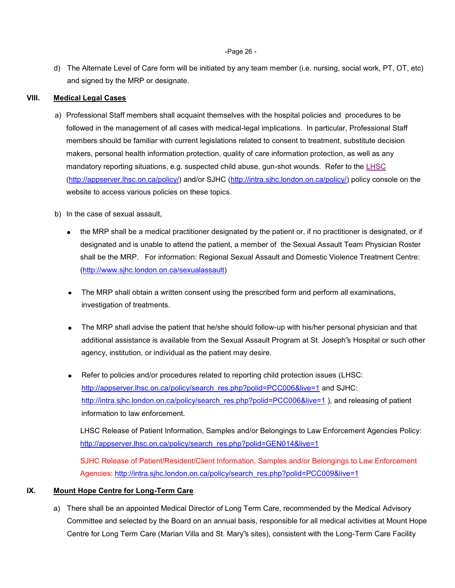d) The Alternate Level of Care form will be initiated by any team member (i.e. nursing, social work, PT, OT, etc) and signed by the MRP or designate.

## **VIII. Medical Legal Cases**

- a) Professional Staff members shall acquaint themselves with the hospital policies and procedures to be followed in the management of all cases with medical-legal implications. In particular, Professional Staff members should be familiar with current legislations related to consent to treatment, substitute decision makers, personal health information protection, quality of care information protection, as well as any mandatory reporting situations, e.g. suspected child abuse, gun-shot wounds. Refer to the [LHSC](http://appserver.lhsc.on.ca/policy/) [\(http://appserver.lhsc.on.ca/policy/\)](http://appserver.lhsc.on.ca/policy/) and/or SJHC [\(http://intra.sjhc.london.on.ca/policy/\)](http://intra.sjhc.london.on.ca/policy/) policy console on the website to access various policies on these topics.
- b) In the case of sexual assault,
	- the MRP shall be a medical practitioner designated by the patient or, if no practitioner is designated, or if designated and is unable to attend the patient, a member of the Sexual Assault Team Physician Roster shall be the MRP. For information: Regional Sexual Assault and Domestic Violence Treatment Centre: [\(http://www.sjhc.london.on.ca/sexualassault\)](http://www.sjhc.london.on.ca/sexualassault)
	- The MRP shall obtain a written consent using the prescribed form and perform all examinations, investigation of treatments.
	- The MRP shall advise the patient that he/she should follow-up with his/her personal physician and that additional assistance is available from the Sexual Assault Program at St. Joseph"s Hospital or such other agency, institution, or individual as the patient may desire.
	- Refer to policies and/or procedures related to reporting child protection issues (LHSC: [http://appserver.lhsc.on.ca/policy/search\\_res.php?polid=PCC006&live=1](http://appserver.lhsc.on.ca/policy/search_res.php?polid=PCC006&live=1) and SJHC: [http://intra.sjhc.london.on.ca/policy/search\\_res.php?polid=PCC006&live=1](http://intra.sjhc.london.on.ca/policy/search_res.php?polid=PCC006&live=1) ), and releasing of patient information to law enforcement.

LHSC Release of Patient Information, Samples and/or Belongings to Law Enforcement Agencies Policy: [http://appserver.lhsc.on.ca/policy/search\\_res.php?polid=GEN014&live=1](http://appserver.lhsc.on.ca/policy/search_res.php?polid=GEN014&live=1)

SJHC Release of Patient/Resident/Client Information, Samples and/or Belongings to Law Enforcement Agencies: [http://intra.sjhc.london.on.ca/policy/search\\_res.php?polid=PCC009&live=1](http://intra.sjhc.london.on.ca/policy/search_res.php?polid=PCC009&live=1)

#### **IX. Mount Hope Centre for Long-Term Care**

a) There shall be an appointed Medical Director of Long Term Care, recommended by the Medical Advisory Committee and selected by the Board on an annual basis, responsible for all medical activities at Mount Hope Centre for Long Term Care (Marian Villa and St. Mary"s sites), consistent with the Long-Term Care Facility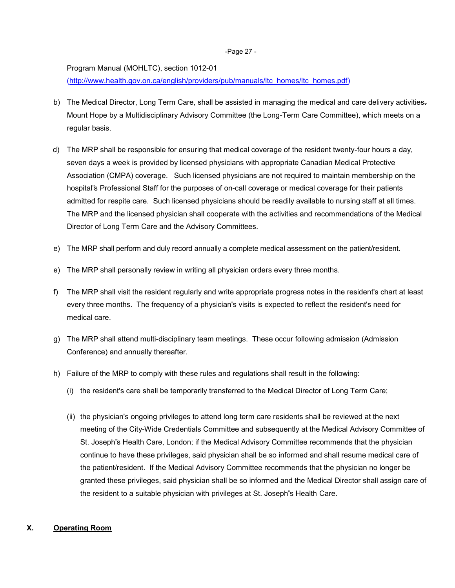#### -Page 27 -

Program Manual (MOHLTC), section 1012-01

[\(http://www.health.gov.on.ca/english/providers/pub/manuals/ltc\\_homes/ltc\\_homes.pdf\)](http://www.health.gov.on.ca/english/providers/pub/manuals/ltc_homes/ltc_homes.pdf)

- b) The Medical Director, Long Term Care, shall be assisted in managing the medical and care delivery activities-Mount Hope by a Multidisciplinary Advisory Committee (the Long-Term Care Committee), which meets on a regular basis.
- d) The MRP shall be responsible for ensuring that medical coverage of the resident twenty-four hours a day, seven days a week is provided by licensed physicians with appropriate Canadian Medical Protective Association (CMPA) coverage. Such licensed physicians are not required to maintain membership on the hospital"s Professional Staff for the purposes of on-call coverage or medical coverage for their patients admitted for respite care. Such licensed physicians should be readily available to nursing staff at all times. The MRP and the licensed physician shall cooperate with the activities and recommendations of the Medical Director of Long Term Care and the Advisory Committees.
- e) The MRP shall perform and duly record annually a complete medical assessment on the patient/resident.
- e) The MRP shall personally review in writing all physician orders every three months.
- f) The MRP shall visit the resident regularly and write appropriate progress notes in the resident's chart at least every three months. The frequency of a physician's visits is expected to reflect the resident's need for medical care.
- g) The MRP shall attend multi-disciplinary team meetings. These occur following admission (Admission Conference) and annually thereafter.
- h) Failure of the MRP to comply with these rules and regulations shall result in the following:
	- (i) the resident's care shall be temporarily transferred to the Medical Director of Long Term Care;
	- (ii) the physician's ongoing privileges to attend long term care residents shall be reviewed at the next meeting of the City-Wide Credentials Committee and subsequently at the Medical Advisory Committee of St. Joseph"s Health Care, London; if the Medical Advisory Committee recommends that the physician continue to have these privileges, said physician shall be so informed and shall resume medical care of the patient/resident. If the Medical Advisory Committee recommends that the physician no longer be granted these privileges, said physician shall be so informed and the Medical Director shall assign care of the resident to a suitable physician with privileges at St. Joseph"s Health Care.

## <span id="page-26-0"></span>**X. Operating Room**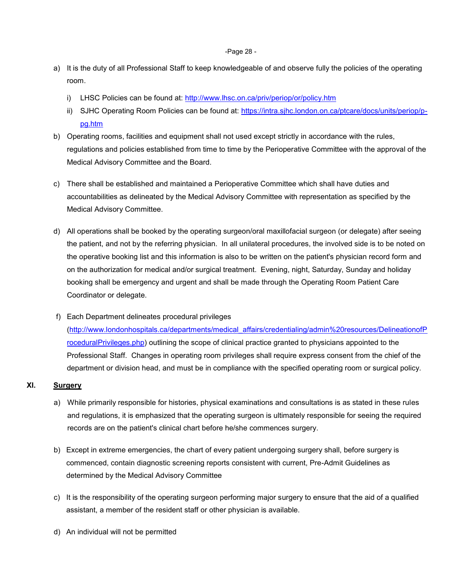#### -Page 28 -

- a) It is the duty of all Professional Staff to keep knowledgeable of and observe fully the policies of the operating room.
	- i) LHSC Policies can be found at: http://www.lhsc.on.ca/priv/periop/or/policy.htm
	- ii) SJHC Operating Room Policies can be found at: [https://intra.sjhc.london.on.ca/ptcare/docs/units/periop/p](https://intra.sjhc.london.on.ca/ptcare/docs/units/periop/p-pg.htm)[pg.htm](https://intra.sjhc.london.on.ca/ptcare/docs/units/periop/p-pg.htm)
- b) Operating rooms, facilities and equipment shall not used except strictly in accordance with the rules, regulations and policies established from time to time by the Perioperative Committee with the approval of the Medical Advisory Committee and the Board.
- c) There shall be established and maintained a Perioperative Committee which shall have duties and accountabilities as delineated by the Medical Advisory Committee with representation as specified by the Medical Advisory Committee.
- d) All operations shall be booked by the operating surgeon/oral maxillofacial surgeon (or delegate) after seeing the patient, and not by the referring physician. In all unilateral procedures, the involved side is to be noted on the operative booking list and this information is also to be written on the patient's physician record form and on the authorization for medical and/or surgical treatment. Evening, night, Saturday, Sunday and holiday booking shall be emergency and urgent and shall be made through the Operating Room Patient Care Coordinator or delegate.
- f) Each Department delineates procedural privileges [\(http://www.londonhospitals.ca/departments/medical\\_affairs/credentialing/admin%20resources/DelineationofP](http://www.londonhospitals.ca/departments/medical_affairs/credentialing/admin%20resources/DelineationofProceduralPrivileges.php) [roceduralPrivileges.php\)](http://www.londonhospitals.ca/departments/medical_affairs/credentialing/admin%20resources/DelineationofProceduralPrivileges.php) outlining the scope of clinical practice granted to physicians appointed to the Professional Staff. Changes in operating room privileges shall require express consent from the chief of the department or division head, and must be in compliance with the specified operating room or surgical policy.

## <span id="page-27-0"></span>**XI. Surgery**

- a) While primarily responsible for histories, physical examinations and consultations is as stated in these rules and regulations, it is emphasized that the operating surgeon is ultimately responsible for seeing the required records are on the patient's clinical chart before he/she commences surgery.
- b) Except in extreme emergencies, the chart of every patient undergoing surgery shall, before surgery is commenced, contain diagnostic screening reports consistent with current, Pre-Admit Guidelines as determined by the Medical Advisory Committee
- c) It is the responsibility of the operating surgeon performing major surgery to ensure that the aid of a qualified assistant, a member of the resident staff or other physician is available.
- d) An individual will not be permitted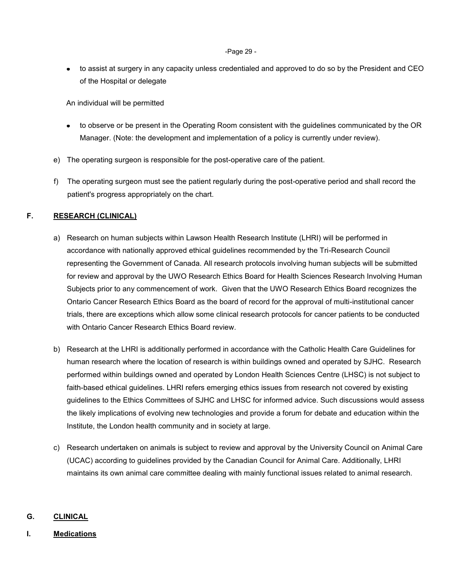#### -Page 29 -

• to assist at surgery in any capacity unless credentialed and approved to do so by the President and CEO of the Hospital or delegate

An individual will be permitted

- to observe or be present in the Operating Room consistent with the guidelines communicated by the OR Manager. (Note: the development and implementation of a policy is currently under review).
- e) The operating surgeon is responsible for the post-operative care of the patient.
- f) The operating surgeon must see the patient regularly during the post-operative period and shall record the patient's progress appropriately on the chart.

# **F. RESEARCH (CLINICAL)**

- a) Research on human subjects within Lawson Health Research Institute (LHRI) will be performed in accordance with nationally approved ethical guidelines recommended by the Tri-Research Council representing the Government of Canada. All research protocols involving human subjects will be submitted for review and approval by the UWO Research Ethics Board for Health Sciences Research Involving Human Subjects prior to any commencement of work. Given that the UWO Research Ethics Board recognizes the Ontario Cancer Research Ethics Board as the board of record for the approval of multi-institutional cancer trials, there are exceptions which allow some clinical research protocols for cancer patients to be conducted with Ontario Cancer Research Ethics Board review.
- b) Research at the LHRI is additionally performed in accordance with the Catholic Health Care Guidelines for human research where the location of research is within buildings owned and operated by SJHC. Research performed within buildings owned and operated by London Health Sciences Centre (LHSC) is not subject to faith-based ethical guidelines. LHRI refers emerging ethics issues from research not covered by existing guidelines to the Ethics Committees of SJHC and LHSC for informed advice. Such discussions would assess the likely implications of evolving new technologies and provide a forum for debate and education within the Institute, the London health community and in society at large.
- c) Research undertaken on animals is subject to review and approval by the University Council on Animal Care (UCAC) according to guidelines provided by the Canadian Council for Animal Care. Additionally, LHRI maintains its own animal care committee dealing with mainly functional issues related to animal research.

# **G. CLINICAL**

# **I. Medications**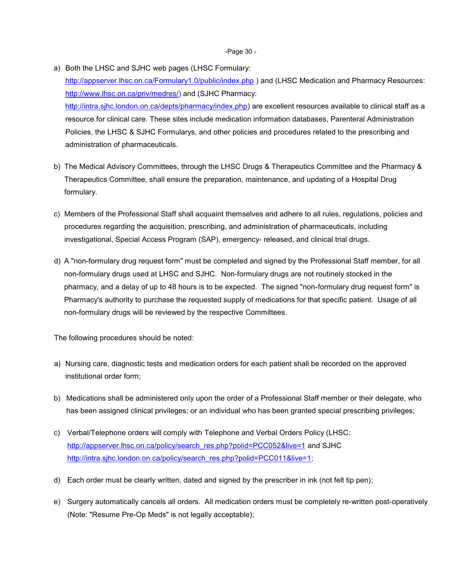- a) Both the LHSC and SJHC web pages (LHSC Formulary: <http://appserver.lhsc.on.ca/Formulary1.0/public/index.php>) and (LHSC Medication and Pharmacy Resources: [http://www.lhsc.on.ca/priv/medres/\)](http://www.lhsc.on.ca/priv/medres/) and (SJHC Pharmacy: [http://intra.sjhc.london.on.ca/depts/pharmacy/index.php\)](http://intra.sjhc.london.on.ca/depts/pharmacy/index.php) are excellent resources available to clinical staff as a resource for clinical care. These sites include medication information databases, Parenteral Administration Policies, the LHSC & SJHC Formularys, and other policies and procedures related to the prescribing and administration of pharmaceuticals.
- b) The Medical Advisory Committees, through the LHSC Drugs & Therapeutics Committee and the Pharmacy & Therapeutics Committee, shall ensure the preparation, maintenance, and updating of a Hospital Drug formulary.
- c) Members of the Professional Staff shall acquaint themselves and adhere to all rules, regulations, policies and procedures regarding the acquisition, prescribing, and administration of pharmaceuticals, including investigational, Special Access Program (SAP), emergency- released, and clinical trial drugs.
- d) A "non-formulary drug request form" must be completed and signed by the Professional Staff member, for all non-formulary drugs used at LHSC and SJHC. Non-formulary drugs are not routinely stocked in the pharmacy, and a delay of up to 48 hours is to be expected. The signed "non-formulary drug request form" is Pharmacy's authority to purchase the requested supply of medications for that specific patient. Usage of all non-formulary drugs will be reviewed by the respective Committees.

The following procedures should be noted:

- a) Nursing care, diagnostic tests and medication orders for each patient shall be recorded on the approved institutional order form;
- b) Medications shall be administered only upon the order of a Professional Staff member or their delegate, who has been assigned clinical privileges; or an individual who has been granted special prescribing privileges;
- c) Verbal/Telephone orders will comply with Telephone and Verbal Orders Policy (LHSC: [http://appserver.lhsc.on.ca/policy/search\\_res.php?polid=PCC052&live=1](http://appserver.lhsc.on.ca/policy/search_res.php?polid=PCC052&live=1) and SJHC [http://intra.sjhc.london.on.ca/policy/search\\_res.php?polid=PCC011&live=1;](http://intra.sjhc.london.on.ca/policy/search_res.php?polid=PCC011&live=1)
- d) Each order must be clearly written, dated and signed by the prescriber in ink (not felt tip pen);
- e) Surgery automatically cancels all orders. All medication orders must be completely re-written post-operatively (Note: "Resume Pre-Op Meds" is not legally acceptable);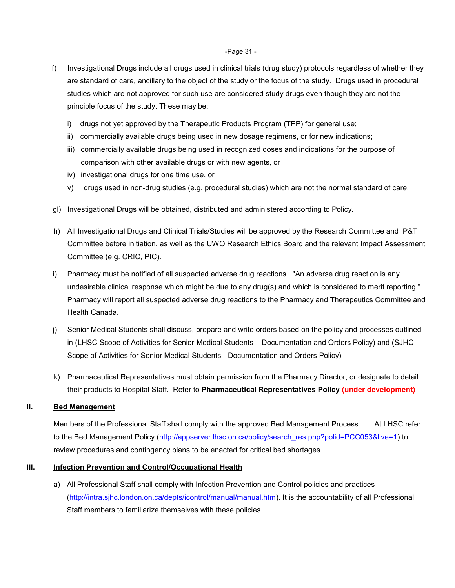#### -Page 31 -

- f) Investigational Drugs include all drugs used in clinical trials (drug study) protocols regardless of whether they are standard of care, ancillary to the object of the study or the focus of the study. Drugs used in procedural studies which are not approved for such use are considered study drugs even though they are not the principle focus of the study. These may be:
	- i) drugs not yet approved by the Therapeutic Products Program (TPP) for general use;
	- ii) commercially available drugs being used in new dosage regimens, or for new indications;
	- iii) commercially available drugs being used in recognized doses and indications for the purpose of comparison with other available drugs or with new agents, or
	- iv) investigational drugs for one time use, or
	- v) drugs used in non-drug studies (e.g. procedural studies) which are not the normal standard of care.
- gl) Investigational Drugs will be obtained, distributed and administered according to Policy.
- h) All Investigational Drugs and Clinical Trials/Studies will be approved by the Research Committee and P&T Committee before initiation, as well as the UWO Research Ethics Board and the relevant Impact Assessment Committee (e.g. CRIC, PIC).
- i) Pharmacy must be notified of all suspected adverse drug reactions. "An adverse drug reaction is any undesirable clinical response which might be due to any drug(s) and which is considered to merit reporting." Pharmacy will report all suspected adverse drug reactions to the Pharmacy and Therapeutics Committee and Health Canada.
- j) Senior Medical Students shall discuss, prepare and write orders based on the policy and processes outlined in (LHSC Scope of Activities for Senior Medical Students – Documentation and Orders Policy) and (SJHC Scope of Activities for Senior Medical Students - Documentation and Orders Policy)
- k) Pharmaceutical Representatives must obtain permission from the Pharmacy Director, or designate to detail their products to Hospital Staff. Refer to **Pharmaceutical Representatives Policy (under development)**

#### <span id="page-30-0"></span>**II. Bed Management**

Members of the Professional Staff shall comply with the approved Bed Management Process. At LHSC refer to the Bed Management Policy [\(http://appserver.lhsc.on.ca/policy/search\\_res.php?polid=PCC053&live=1\)](http://appserver.lhsc.on.ca/policy/search_res.php?polid=PCC053&live=1) to review procedures and contingency plans to be enacted for critical bed shortages.

#### <span id="page-30-1"></span>**III.** Infection Prevention and Control/Occupational Health

a) All Professional Staff shall comply with Infection Prevention and Control policies and practices [\(http://intra.sjhc.london.on.ca/depts/icontrol/manual/manual.htm\)](http://intra.sjhc.london.on.ca/depts/icontrol/manual/manual.htm). It is the accountability of all Professional Staff members to familiarize themselves with these policies.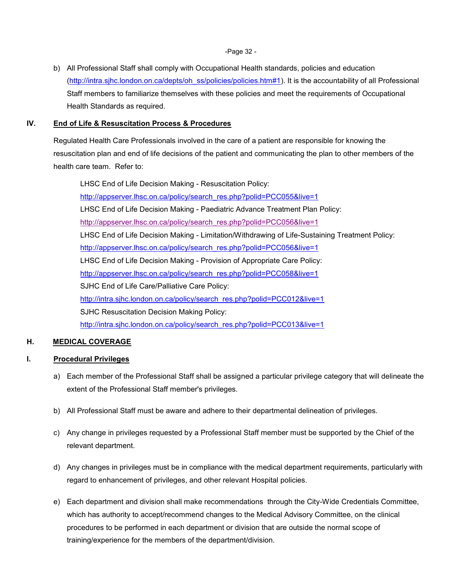-Page 32 -

b) All Professional Staff shall comply with Occupational Health standards, policies and education [\(http://intra.sjhc.london.on.ca/depts/oh\\_ss/policies/policies.htm#1\)](http://intra.sjhc.london.on.ca/depts/oh_ss/policies/policies.htm#1). It is the accountability of all Professional Staff members to familiarize themselves with these policies and meet the requirements of Occupational Health Standards as required.

## <span id="page-31-0"></span>**IV. End of Life & Resuscitation Process & Procedures**

Regulated Health Care Professionals involved in the care of a patient are responsible for knowing the resuscitation plan and end of life decisions of the patient and communicating the plan to other members of the health care team. Refer to:

LHSC End of Life Decision Making - Resuscitation Policy: http://appserver.lhsc.on.ca/policy/search\_res.php?polid=PCC055&live=1 LHSC End of Life Decision Making - Paediatric Advance Treatment Plan Policy: http://appserver.lhsc.on.ca/policy/search\_res.php?polid=PCC056&live=1 LHSC End of Life Decision Making - Limitation/Withdrawing of Life-Sustaining Treatment Policy: http://appserver.lhsc.on.ca/policy/search\_res.php?polid=PCC056&live=1 LHSC End of Life Decision Making - Provision of Appropriate Care Policy: http://appserver.lhsc.on.ca/policy/search\_res.php?polid=PCC058&live=1 SJHC End of Life Care/Palliative Care Policy: http://intra.sjhc.london.on.ca/policy/search\_res.php?polid=PCC012&live=1 SJHC Resuscitation Decision Making Policy: http://intra.sjhc.london.on.ca/policy/search\_res.php?polid=PCC013&live=1

## <span id="page-31-1"></span>**H. MEDICAL COVERAGE**

## <span id="page-31-2"></span>**I. Procedural Privileges**

- a) Each member of the Professional Staff shall be assigned a particular privilege category that will delineate the extent of the Professional Staff member's privileges.
- b) All Professional Staff must be aware and adhere to their departmental delineation of privileges.
- c) Any change in privileges requested by a Professional Staff member must be supported by the Chief of the relevant department.
- d) Any changes in privileges must be in compliance with the medical department requirements, particularly with regard to enhancement of privileges, and other relevant Hospital policies.
- e) Each department and division shall make recommendations through the City-Wide Credentials Committee, which has authority to accept/recommend changes to the Medical Advisory Committee, on the clinical procedures to be performed in each department or division that are outside the normal scope of training/experience for the members of the department/division.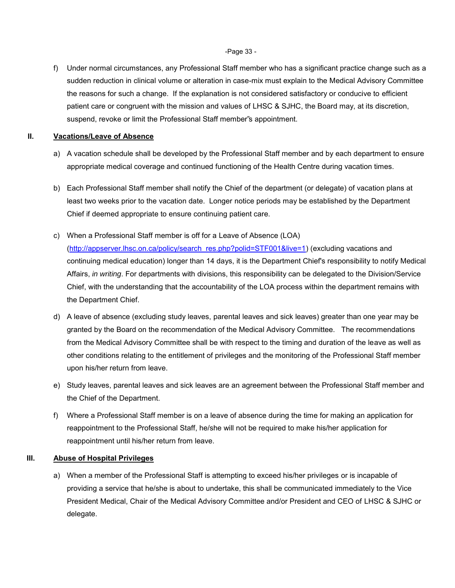-Page 33 -

f) Under normal circumstances, any Professional Staff member who has a significant practice change such as a sudden reduction in clinical volume or alteration in case-mix must explain to the Medical Advisory Committee the reasons for such a change. If the explanation is not considered satisfactory or conducive to efficient patient care or congruent with the mission and values of LHSC & SJHC, the Board may, at its discretion, suspend, revoke or limit the Professional Staff member"s appointment.

## <span id="page-32-0"></span>**II. Vacations/Leave of Absence**

- a) A vacation schedule shall be developed by the Professional Staff member and by each department to ensure appropriate medical coverage and continued functioning of the Health Centre during vacation times.
- b) Each Professional Staff member shall notify the Chief of the department (or delegate) of vacation plans at least two weeks prior to the vacation date. Longer notice periods may be established by the Department Chief if deemed appropriate to ensure continuing patient care.
- c) When a Professional Staff member is off for a Leave of Absence (LOA) [\(http://appserver.lhsc.on.ca/policy/search\\_res.php?polid=STF001&live=1\)](http://appserver.lhsc.on.ca/policy/search_res.php?polid=STF001&live=1) (excluding vacations and continuing medical education) longer than 14 days, it is the Department Chief's responsibility to notify Medical Affairs, *in writing*. For departments with divisions, this responsibility can be delegated to the Division/Service Chief, with the understanding that the accountability of the LOA process within the department remains with the Department Chief.
- d) A leave of absence (excluding study leaves, parental leaves and sick leaves) greater than one year may be granted by the Board on the recommendation of the Medical Advisory Committee. The recommendations from the Medical Advisory Committee shall be with respect to the timing and duration of the leave as well as other conditions relating to the entitlement of privileges and the monitoring of the Professional Staff member upon his/her return from leave.
- e) Study leaves, parental leaves and sick leaves are an agreement between the Professional Staff member and the Chief of the Department.
- f) Where a Professional Staff member is on a leave of absence during the time for making an application for reappointment to the Professional Staff, he/she will not be required to make his/her application for reappointment until his/her return from leave.

## <span id="page-32-1"></span>**III. Abuse of Hospital Privileges**

a) When a member of the Professional Staff is attempting to exceed his/her privileges or is incapable of providing a service that he/she is about to undertake, this shall be communicated immediately to the Vice President Medical, Chair of the Medical Advisory Committee and/or President and CEO of LHSC & SJHC or delegate.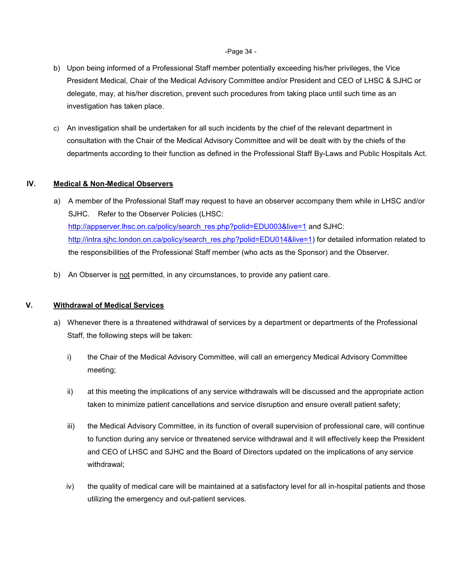#### -Page 34 -

- b) Upon being informed of a Professional Staff member potentially exceeding his/her privileges, the Vice President Medical, Chair of the Medical Advisory Committee and/or President and CEO of LHSC & SJHC or delegate, may, at his/her discretion, prevent such procedures from taking place until such time as an investigation has taken place.
- c) An investigation shall be undertaken for all such incidents by the chief of the relevant department in consultation with the Chair of the Medical Advisory Committee and will be dealt with by the chiefs of the departments according to their function as defined in the Professional Staff By-Laws and Public Hospitals Act.

## <span id="page-33-0"></span>**IV. Medical & Non-Medical Observers**

- a) A member of the Professional Staff may request to have an observer accompany them while in LHSC and/or SJHC. Refer to the Observer Policies (LHSC: [http://appserver.lhsc.on.ca/policy/search\\_res.php?polid=EDU003&live=1](http://appserver.lhsc.on.ca/policy/search_res.php?polid=EDU003&live=1) and SJHC: [http://intra.sjhc.london.on.ca/policy/search\\_res.php?polid=EDU014&live=1\)](http://intra.sjhc.london.on.ca/policy/search_res.php?polid=EDU014&live=1) for detailed information related to the responsibilities of the Professional Staff member (who acts as the Sponsor) and the Observer.
- b) An Observer is not permitted, in any circumstances, to provide any patient care.

## <span id="page-33-1"></span>**V. Withdrawal of Medical Services**

- a) Whenever there is a threatened withdrawal of services by a department or departments of the Professional Staff, the following steps will be taken:
	- i) the Chair of the Medical Advisory Committee, will call an emergency Medical Advisory Committee meeting;
	- ii) at this meeting the implications of any service withdrawals will be discussed and the appropriate action taken to minimize patient cancellations and service disruption and ensure overall patient safety;
	- iii) the Medical Advisory Committee, in its function of overall supervision of professional care, will continue to function during any service or threatened service withdrawal and it will effectively keep the President and CEO of LHSC and SJHC and the Board of Directors updated on the implications of any service withdrawal;
	- iv) the quality of medical care will be maintained at a satisfactory level for all in-hospital patients and those utilizing the emergency and out-patient services.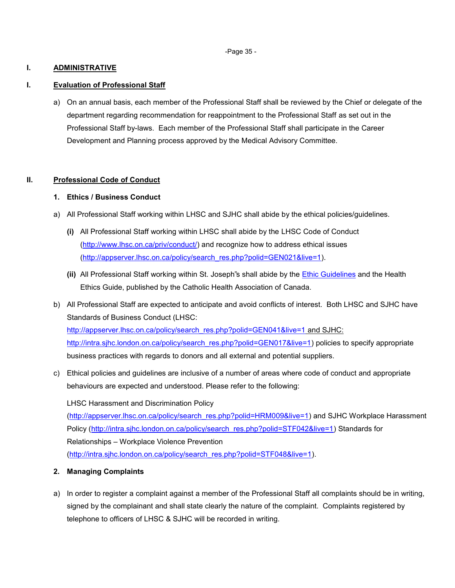-Page 35 -

## <span id="page-34-0"></span>**I. ADMINISTRATIVE**

#### <span id="page-34-1"></span>**I. Evaluation of Professional Staff**

a) On an annual basis, each member of the Professional Staff shall be reviewed by the Chief or delegate of the department regarding recommendation for reappointment to the Professional Staff as set out in the Professional Staff by-laws. Each member of the Professional Staff shall participate in the Career Development and Planning process approved by the Medical Advisory Committee.

## <span id="page-34-2"></span>**II. Professional Code of Conduct**

#### **1. Ethics / Business Conduct**

- a) All Professional Staff working within LHSC and SJHC shall abide by the ethical policies/guidelines.
	- **(i)** All Professional Staff working within LHSC shall abide by the LHSC Code of Conduct [\(http://www.lhsc.on.ca/priv/conduct/\)](http://www.lhsc.on.ca/priv/conduct/) and recognize how to address ethical issues [\(http://appserver.lhsc.on.ca/policy/search\\_res.php?polid=GEN021&live=1\)](http://appserver.lhsc.on.ca/policy/search_res.php?polid=GEN021&live=1).
	- **(ii)** All Professional Staff working within St. Joseph"s shall abide by the [Ethic Guidelines](http://intra.sjhc.london.on.ca/ptcare/ethics/policies_guidelines/policies_guidelines.php) and the Health Ethics Guide, published by the Catholic Health Association of Canada.
- b) All Professional Staff are expected to anticipate and avoid conflicts of interest. Both LHSC and SJHC have Standards of Business Conduct (LHSC: [http://appserver.lhsc.on.ca/policy/search\\_res.php?polid=GEN041&live=1](http://appserver.lhsc.on.ca/policy/search_res.php?polid=GEN041&live=1) and SJHC: [http://intra.sjhc.london.on.ca/policy/search\\_res.php?polid=GEN017&live=1\)](http://intra.sjhc.london.on.ca/policy/search_res.php?polid=GEN017&live=1) policies to specify appropriate business practices with regards to donors and all external and potential suppliers.
- c) Ethical policies and guidelines are inclusive of a number of areas where code of conduct and appropriate behaviours are expected and understood. Please refer to the following:

LHSC Harassment and Discrimination Policy [\(http://appserver.lhsc.on.ca/policy/search\\_res.php?polid=HRM009&live=1\)](http://appserver.lhsc.on.ca/policy/search_res.php?polid=HRM009&live=1) and SJHC Workplace Harassment Policy [\(http://intra.sjhc.london.on.ca/policy/search\\_res.php?polid=STF042&live=1\)](http://intra.sjhc.london.on.ca/policy/search_res.php?polid=STF042&live=1) Standards for Relationships – Workplace Violence Prevention [\(http://intra.sjhc.london.on.ca/policy/search\\_res.php?polid=STF048&live=1\)](http://intra.sjhc.london.on.ca/policy/search_res.php?polid=STF048&live=1).

- **2. Managing Complaints**
- a) In order to register a complaint against a member of the Professional Staff all complaints should be in writing, signed by the complainant and shall state clearly the nature of the complaint. Complaints registered by telephone to officers of LHSC & SJHC will be recorded in writing.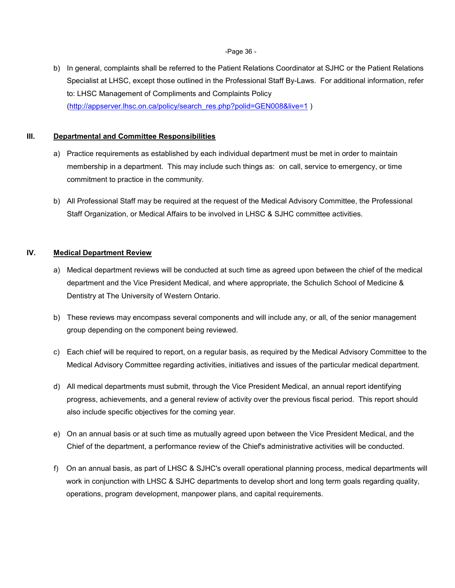-Page 36 -

b) In general, complaints shall be referred to the Patient Relations Coordinator at SJHC or the Patient Relations Specialist at LHSC, except those outlined in the Professional Staff By-Laws. For additional information, refer to: LHSC Management of Compliments and Complaints Policy [\(http://appserver.lhsc.on.ca/policy/search\\_res.php?polid=GEN008&live=1](http://appserver.lhsc.on.ca/policy/search_res.php?polid=GEN008&live=1) )

#### <span id="page-35-0"></span>**III. Departmental and Committee Responsibilities**

- a) Practice requirements as established by each individual department must be met in order to maintain membership in a department. This may include such things as: on call, service to emergency, or time commitment to practice in the community.
- b) All Professional Staff may be required at the request of the Medical Advisory Committee, the Professional Staff Organization, or Medical Affairs to be involved in LHSC & SJHC committee activities.

## <span id="page-35-1"></span>**IV. Medical Department Review**

- a) Medical department reviews will be conducted at such time as agreed upon between the chief of the medical department and the Vice President Medical, and where appropriate, the Schulich School of Medicine & Dentistry at The University of Western Ontario.
- b) These reviews may encompass several components and will include any, or all, of the senior management group depending on the component being reviewed.
- c) Each chief will be required to report, on a regular basis, as required by the Medical Advisory Committee to the Medical Advisory Committee regarding activities, initiatives and issues of the particular medical department.
- d) All medical departments must submit, through the Vice President Medical, an annual report identifying progress, achievements, and a general review of activity over the previous fiscal period. This report should also include specific objectives for the coming year.
- e) On an annual basis or at such time as mutually agreed upon between the Vice President Medical, and the Chief of the department, a performance review of the Chief's administrative activities will be conducted.
- f) On an annual basis, as part of LHSC & SJHC's overall operational planning process, medical departments will work in conjunction with LHSC & SJHC departments to develop short and long term goals regarding quality, operations, program development, manpower plans, and capital requirements.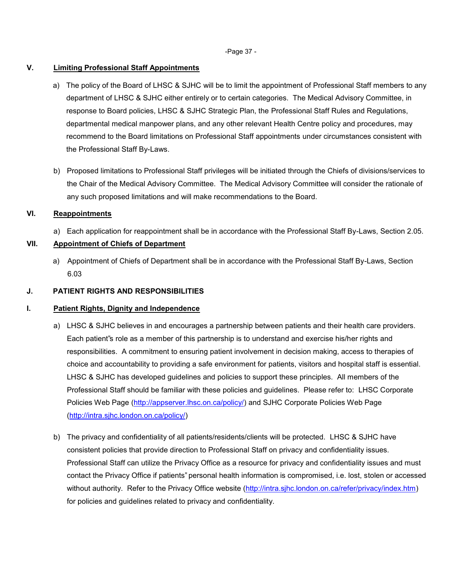-Page 37 -

#### <span id="page-36-0"></span>**V. Limiting Professional Staff Appointments**

- a) The policy of the Board of LHSC & SJHC will be to limit the appointment of Professional Staff members to any department of LHSC & SJHC either entirely or to certain categories. The Medical Advisory Committee, in response to Board policies, LHSC & SJHC Strategic Plan, the Professional Staff Rules and Regulations, departmental medical manpower plans, and any other relevant Health Centre policy and procedures, may recommend to the Board limitations on Professional Staff appointments under circumstances consistent with the Professional Staff By-Laws.
- b) Proposed limitations to Professional Staff privileges will be initiated through the Chiefs of divisions/services to the Chair of the Medical Advisory Committee. The Medical Advisory Committee will consider the rationale of any such proposed limitations and will make recommendations to the Board.

#### <span id="page-36-1"></span>**VI. Reappointments**

a) Each application for reappointment shall be in accordance with the Professional Staff By-Laws, Section 2.05.

## <span id="page-36-2"></span>**VII. Appointment of Chiefs of Department**

a) Appointment of Chiefs of Department shall be in accordance with the Professional Staff By-Laws, Section 6.03

## <span id="page-36-3"></span>**J. PATIENT RIGHTS AND RESPONSIBILITIES**

## <span id="page-36-4"></span>**I. Patient Rights, Dignity and Independence**

- a) LHSC & SJHC believes in and encourages a partnership between patients and their health care providers. Each patient"s role as a member of this partnership is to understand and exercise his/her rights and responsibilities. A commitment to ensuring patient involvement in decision making, access to therapies of choice and accountability to providing a safe environment for patients, visitors and hospital staff is essential. LHSC & SJHC has developed guidelines and policies to support these principles. All members of the Professional Staff should be familiar with these policies and guidelines. Please refer to: LHSC Corporate Policies Web Page [\(http://appserver.lhsc.on.ca/policy/\)](http://appserver.lhsc.on.ca/policy/) and SJHC Corporate Policies Web Page [\(http://intra.sjhc.london.on.ca/policy/\)](http://intra.sjhc.london.on.ca/policy/)
- b) The privacy and confidentiality of all patients/residents/clients will be protected. LHSC & SJHC have consistent policies that provide direction to Professional Staff on privacy and confidentiality issues. Professional Staff can utilize the Privacy Office as a resource for privacy and confidentiality issues and must contact the Privacy Office if patients" personal health information is compromised, i.e. lost, stolen or accessed without authority. Refer to the Privacy Office website [\(http://intra.sjhc.london.on.ca/refer/privacy/index.htm\)](http://intra.sjhc.london.on.ca/refer/privacy/index.htm) for policies and guidelines related to privacy and confidentiality.